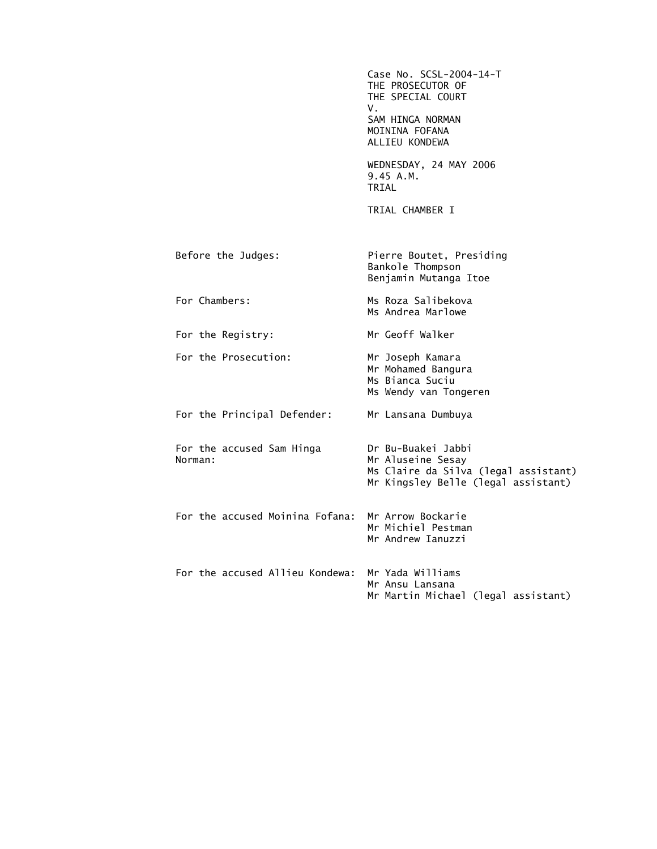|                                      | Case No. SCSL-2004-14-T<br>THE PROSECUTOR OF<br>THE SPECIAL COURT<br>V.<br>SAM HINGA NORMAN<br>MOININA FOFANA<br>ALLIEU KONDEWA |
|--------------------------------------|---------------------------------------------------------------------------------------------------------------------------------|
|                                      | WEDNESDAY, 24 MAY 2006<br>9.45 A.M.<br>TRIAL                                                                                    |
|                                      | TRIAL CHAMBER I                                                                                                                 |
| Before the Judges:                   | Pierre Boutet, Presiding<br>Bankole Thompson<br>Benjamin Mutanga Itoe                                                           |
| For Chambers:                        | Ms Roza Salibekova<br>Ms Andrea Marlowe                                                                                         |
| For the Registry:                    | Mr Geoff Walker                                                                                                                 |
| For the Prosecution:                 | Mr Joseph Kamara<br>Mr Mohamed Bangura<br>Ms Bianca Suciu<br>Ms Wendy van Tongeren                                              |
| For the Principal Defender:          | Mr Lansana Dumbuya                                                                                                              |
| For the accused Sam Hinga<br>Norman: | Dr Bu-Buakei Jabbi<br>Mr Aluseine Sesay<br>Ms Claire da Silva (legal assistant)<br>Mr Kingsley Belle (legal assistant)          |
| For the accused Moinina Fofana:      | Mr Arrow Bockarie<br>Mr Michiel Pestman<br>Mr Andrew Ianuzzi                                                                    |
| For the accused Allieu Kondewa:      | Mr Yada Williams<br>Mr Ansu Lansana<br>Mr Martin Michael (legal assistant)                                                      |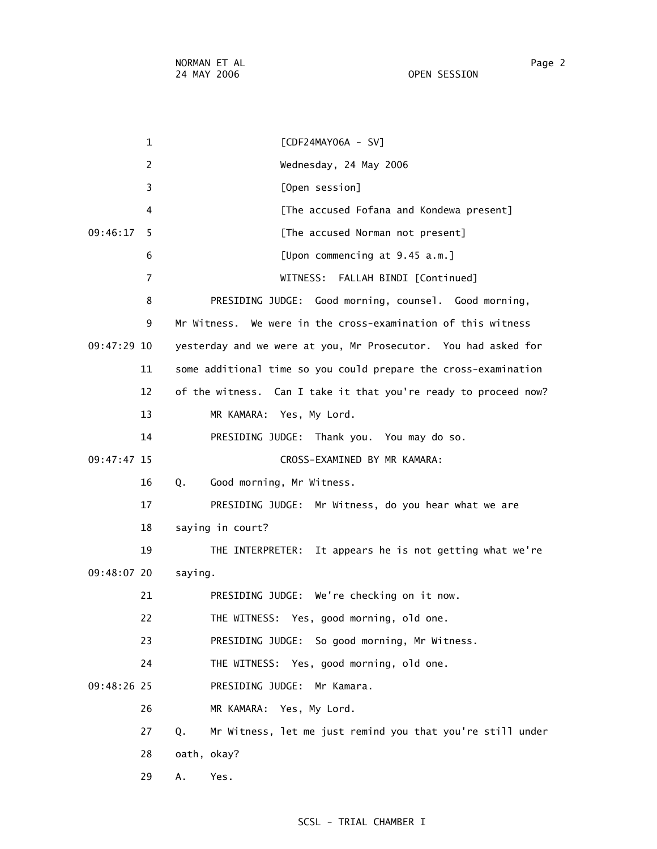| OPEN SESSION |  |  |  |  |  |  |
|--------------|--|--|--|--|--|--|
|              |  |  |  |  |  |  |

 1 [CDF24MAY06A - SV] 2 Wednesday, 24 May 2006 3 [Open session] 4 [The accused Fofana and Kondewa present] 09:46:17 5 [The accused Norman not present] 6 [Upon commencing at 9.45 a.m.] 7 WITNESS: FALLAH BINDI [Continued] 8 PRESIDING JUDGE: Good morning, counsel. Good morning, 9 Mr Witness. We were in the cross-examination of this witness 09:47:29 10 yesterday and we were at you, Mr Prosecutor. You had asked for 11 some additional time so you could prepare the cross-examination 12 of the witness. Can I take it that you're ready to proceed now? 13 MR KAMARA: Yes, My Lord. 14 PRESIDING JUDGE: Thank you. You may do so. 09:47:47 15 CROSS-EXAMINED BY MR KAMARA: 16 Q. Good morning, Mr Witness. 17 PRESIDING JUDGE: Mr Witness, do you hear what we are 18 saying in court? 19 THE INTERPRETER: It appears he is not getting what we're 09:48:07 20 saying. 21 PRESIDING JUDGE: We're checking on it now. 22 THE WITNESS: Yes, good morning, old one. 23 PRESIDING JUDGE: So good morning, Mr Witness. 24 THE WITNESS: Yes, good morning, old one. 09:48:26 25 PRESIDING JUDGE: Mr Kamara. 26 MR KAMARA: Yes, My Lord. 27 Q. Mr Witness, let me just remind you that you're still under 28 oath, okay? 29 A. Yes.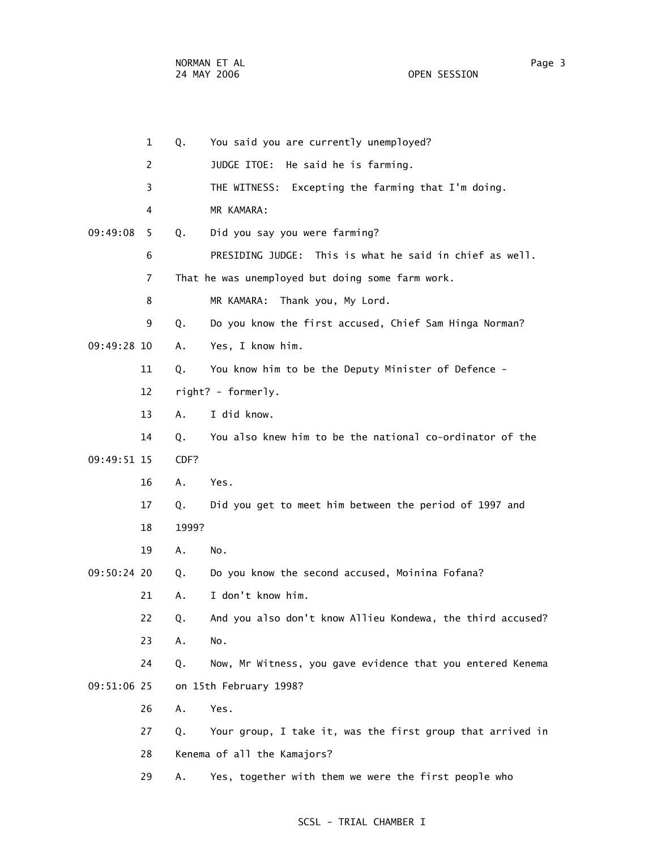1 Q. You said you are currently unemployed? 2 JUDGE ITOE: He said he is farming. 3 THE WITNESS: Excepting the farming that I'm doing. 4 MR KAMARA: 09:49:08 5 Q. Did you say you were farming? 6 PRESIDING JUDGE: This is what he said in chief as well. 7 That he was unemployed but doing some farm work. 8 MR KAMARA: Thank you, My Lord. 9 Q. Do you know the first accused, Chief Sam Hinga Norman? 09:49:28 10 A. Yes, I know him. 11 Q. You know him to be the Deputy Minister of Defence - 12 right? - formerly. 13 A. I did know. 14 Q. You also knew him to be the national co-ordinator of the 09:49:51 15 CDF? 16 A. Yes. 17 Q. Did you get to meet him between the period of 1997 and 18 1999? 19 A. No. 09:50:24 20 Q. Do you know the second accused, Moinina Fofana? 21 A. I don't know him. 22 Q. And you also don't know Allieu Kondewa, the third accused? 23 A. No. 24 Q. Now, Mr Witness, you gave evidence that you entered Kenema 09:51:06 25 on 15th February 1998? 26 A. Yes. 27 Q. Your group, I take it, was the first group that arrived in 28 Kenema of all the Kamajors? 29 A. Yes, together with them we were the first people who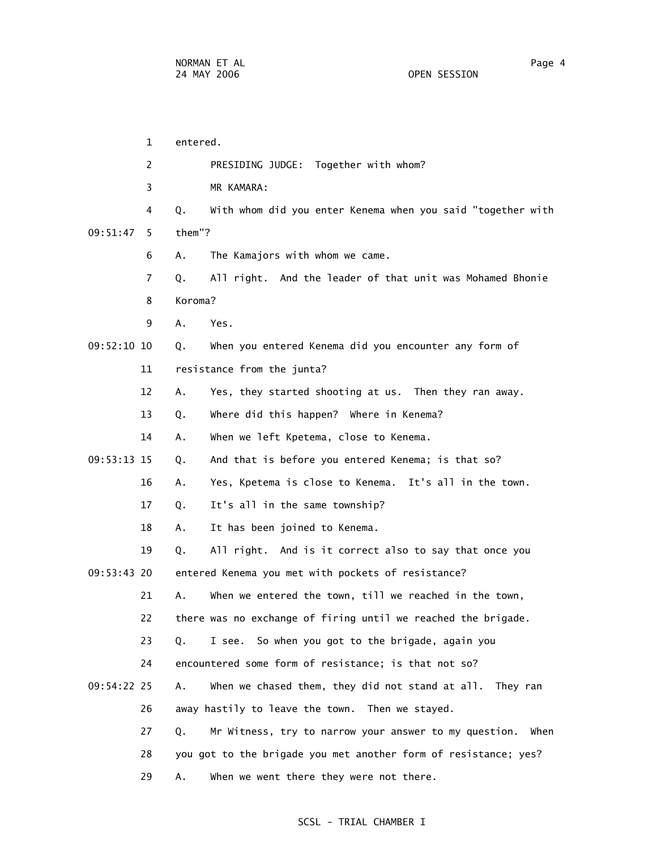1 entered. 2 PRESIDING JUDGE: Together with whom? 3 MR KAMARA: 4 Q. With whom did you enter Kenema when you said "together with 09:51:47 5 them"? 6 A. The Kamajors with whom we came. 7 Q. All right. And the leader of that unit was Mohamed Bhonie 8 Koroma? 9 A. Yes. 09:52:10 10 Q. When you entered Kenema did you encounter any form of 11 resistance from the junta? 12 A. Yes, they started shooting at us. Then they ran away. 13 Q. Where did this happen? Where in Kenema? 14 A. When we left Kpetema, close to Kenema. 09:53:13 15 Q. And that is before you entered Kenema; is that so? 16 A. Yes, Kpetema is close to Kenema. It's all in the town. 17 Q. It's all in the same township? 18 A. It has been joined to Kenema. 19 Q. All right. And is it correct also to say that once you 09:53:43 20 entered Kenema you met with pockets of resistance? 21 A. When we entered the town, till we reached in the town, 22 there was no exchange of firing until we reached the brigade. 23 Q. I see. So when you got to the brigade, again you 24 encountered some form of resistance; is that not so? 09:54:22 25 A. When we chased them, they did not stand at all. They ran 26 away hastily to leave the town. Then we stayed. 27 Q. Mr Witness, try to narrow your answer to my question. When 28 you got to the brigade you met another form of resistance; yes? 29 A. When we went there they were not there.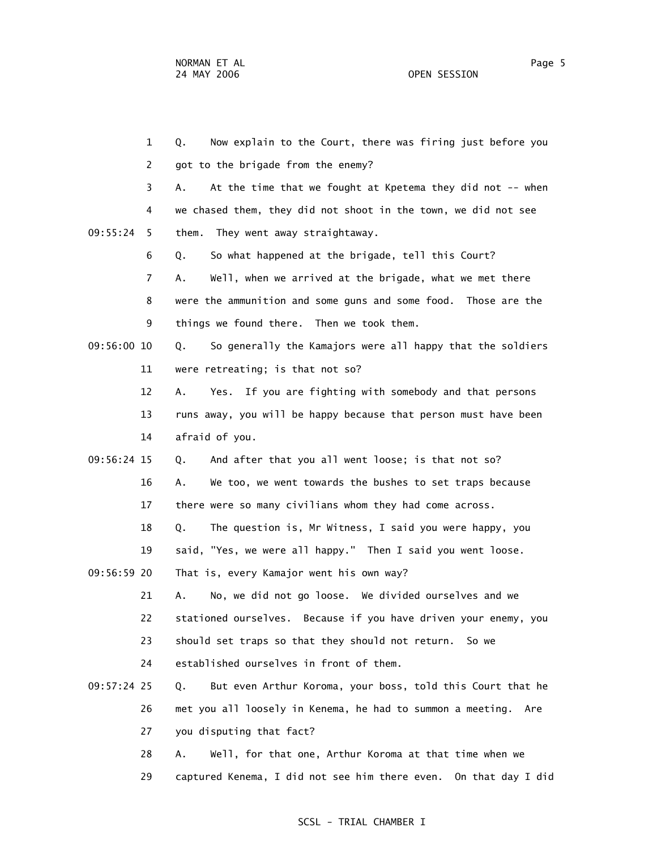1 Q. Now explain to the Court, there was firing just before you 2 got to the brigade from the enemy? 3 A. At the time that we fought at Kpetema they did not -- when 4 we chased them, they did not shoot in the town, we did not see 09:55:24 5 them. They went away straightaway. 6 Q. So what happened at the brigade, tell this Court? 7 A. Well, when we arrived at the brigade, what we met there 8 were the ammunition and some guns and some food. Those are the 9 things we found there. Then we took them. 09:56:00 10 Q. So generally the Kamajors were all happy that the soldiers 11 were retreating; is that not so? 12 A. Yes. If you are fighting with somebody and that persons 13 runs away, you will be happy because that person must have been 14 afraid of you. 09:56:24 15 Q. And after that you all went loose; is that not so? 16 A. We too, we went towards the bushes to set traps because 17 there were so many civilians whom they had come across. 18 Q. The question is, Mr Witness, I said you were happy, you 19 said, "Yes, we were all happy." Then I said you went loose. 09:56:59 20 That is, every Kamajor went his own way? 21 A. No, we did not go loose. We divided ourselves and we 22 stationed ourselves. Because if you have driven your enemy, you 23 should set traps so that they should not return. So we 24 established ourselves in front of them. 09:57:24 25 Q. But even Arthur Koroma, your boss, told this Court that he 26 met you all loosely in Kenema, he had to summon a meeting. Are 27 you disputing that fact? 28 A. Well, for that one, Arthur Koroma at that time when we

29 captured Kenema, I did not see him there even. On that day I did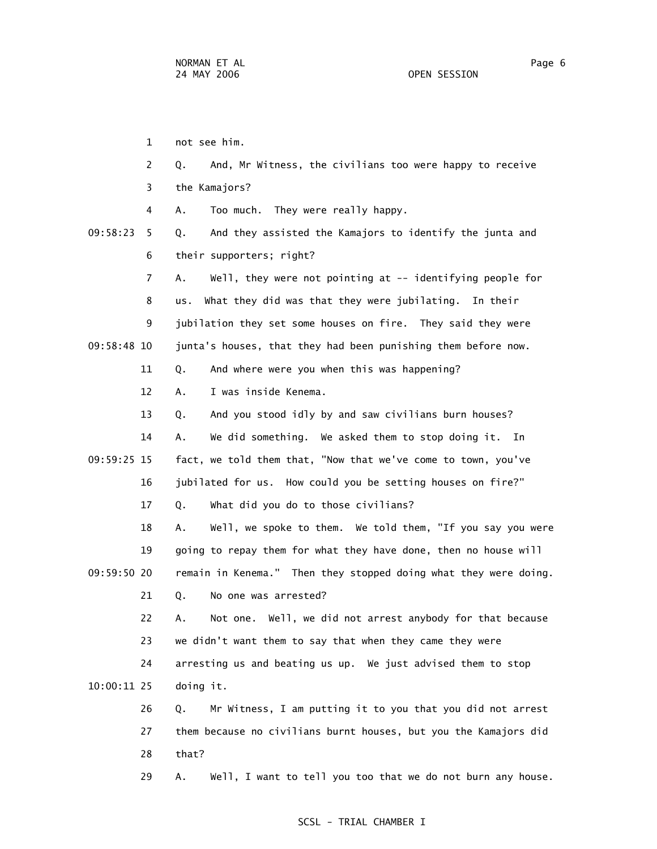1 not see him. 2 Q. And, Mr Witness, the civilians too were happy to receive 3 the Kamajors? 4 A. Too much. They were really happy. 09:58:23 5 Q. And they assisted the Kamajors to identify the junta and 6 their supporters; right? 7 A. Well, they were not pointing at -- identifying people for 8 us. What they did was that they were jubilating. In their 9 jubilation they set some houses on fire. They said they were 09:58:48 10 junta's houses, that they had been punishing them before now. 11 Q. And where were you when this was happening? 12 A. I was inside Kenema. 13 Q. And you stood idly by and saw civilians burn houses? 14 A. We did something. We asked them to stop doing it. In 09:59:25 15 fact, we told them that, "Now that we've come to town, you've 16 jubilated for us. How could you be setting houses on fire?" 17 Q. What did you do to those civilians? 18 A. Well, we spoke to them. We told them, "If you say you were 19 going to repay them for what they have done, then no house will 09:59:50 20 remain in Kenema." Then they stopped doing what they were doing. 21 Q. No one was arrested? 22 A. Not one. Well, we did not arrest anybody for that because 23 we didn't want them to say that when they came they were 24 arresting us and beating us up. We just advised them to stop 10:00:11 25 doing it. 26 Q. Mr Witness, I am putting it to you that you did not arrest 27 them because no civilians burnt houses, but you the Kamajors did 28 that? 29 A. Well, I want to tell you too that we do not burn any house.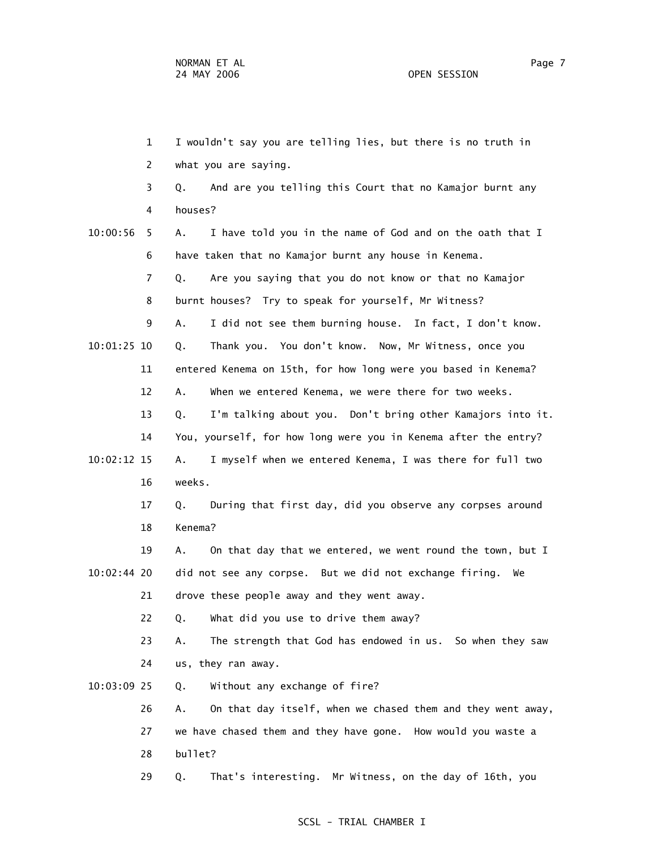1 I wouldn't say you are telling lies, but there is no truth in 2 what you are saying. 3 Q. And are you telling this Court that no Kamajor burnt any 4 houses? 10:00:56 5 A. I have told you in the name of God and on the oath that I 6 have taken that no Kamajor burnt any house in Kenema. 7 Q. Are you saying that you do not know or that no Kamajor 8 burnt houses? Try to speak for yourself, Mr Witness? 9 A. I did not see them burning house. In fact, I don't know. 10:01:25 10 Q. Thank you. You don't know. Now, Mr Witness, once you 11 entered Kenema on 15th, for how long were you based in Kenema? 12 A. When we entered Kenema, we were there for two weeks. 13 Q. I'm talking about you. Don't bring other Kamajors into it. 14 You, yourself, for how long were you in Kenema after the entry? 10:02:12 15 A. I myself when we entered Kenema, I was there for full two 16 weeks. 17 Q. During that first day, did you observe any corpses around 18 Kenema? 19 A. On that day that we entered, we went round the town, but I 10:02:44 20 did not see any corpse. But we did not exchange firing. We 21 drove these people away and they went away. 22 Q. What did you use to drive them away? 23 A. The strength that God has endowed in us. So when they saw 24 us, they ran away. 10:03:09 25 Q. Without any exchange of fire? 26 A. On that day itself, when we chased them and they went away, 27 we have chased them and they have gone. How would you waste a 28 bullet? 29 Q. That's interesting. Mr Witness, on the day of 16th, you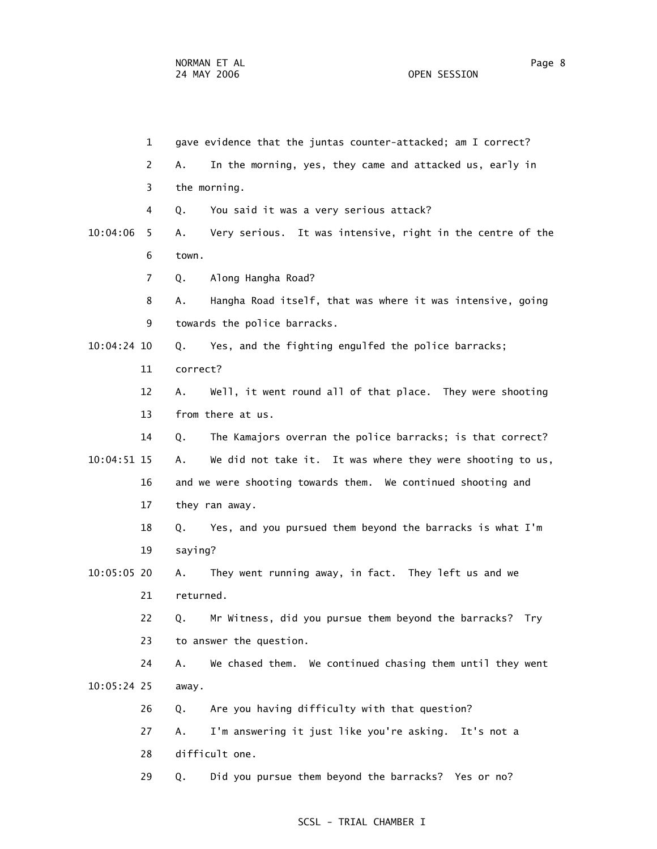1 gave evidence that the juntas counter-attacked; am I correct? 2 A. In the morning, yes, they came and attacked us, early in 3 the morning. 4 Q. You said it was a very serious attack? 10:04:06 5 A. Very serious. It was intensive, right in the centre of the 6 town. 7 Q. Along Hangha Road? 8 A. Hangha Road itself, that was where it was intensive, going 9 towards the police barracks. 10:04:24 10 Q. Yes, and the fighting engulfed the police barracks; 11 correct? 12 A. Well, it went round all of that place. They were shooting 13 from there at us. 14 Q. The Kamajors overran the police barracks; is that correct? 10:04:51 15 A. We did not take it. It was where they were shooting to us, 16 and we were shooting towards them. We continued shooting and 17 they ran away. 18 Q. Yes, and you pursued them beyond the barracks is what I'm 19 saying? 10:05:05 20 A. They went running away, in fact. They left us and we 21 returned. 22 Q. Mr Witness, did you pursue them beyond the barracks? Try 23 to answer the question. 24 A. We chased them. We continued chasing them until they went 10:05:24 25 away. 26 Q. Are you having difficulty with that question? 27 A. I'm answering it just like you're asking. It's not a 28 difficult one. 29 Q. Did you pursue them beyond the barracks? Yes or no?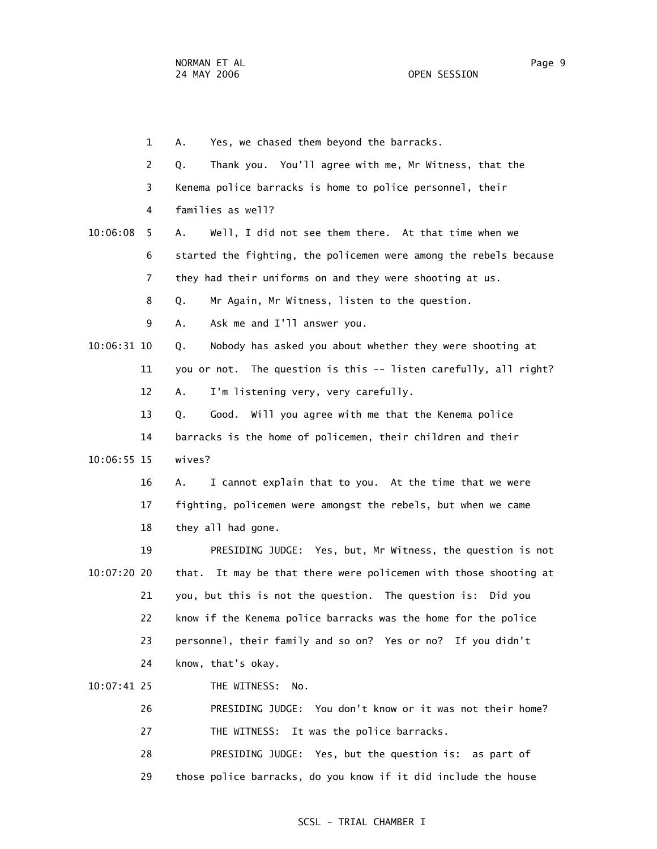1 A. Yes, we chased them beyond the barracks. 2 Q. Thank you. You'll agree with me, Mr Witness, that the 3 Kenema police barracks is home to police personnel, their 4 families as well? 10:06:08 5 A. Well, I did not see them there. At that time when we 6 started the fighting, the policemen were among the rebels because 7 they had their uniforms on and they were shooting at us. 8 Q. Mr Again, Mr Witness, listen to the question. 9 A. Ask me and I'll answer you. 10:06:31 10 Q. Nobody has asked you about whether they were shooting at 11 you or not. The question is this -- listen carefully, all right? 12 A. I'm listening very, very carefully. 13 Q. Good. Will you agree with me that the Kenema police 14 barracks is the home of policemen, their children and their 10:06:55 15 wives? 16 A. I cannot explain that to you. At the time that we were 17 fighting, policemen were amongst the rebels, but when we came 18 they all had gone. 19 PRESIDING JUDGE: Yes, but, Mr Witness, the question is not 10:07:20 20 that. It may be that there were policemen with those shooting at 21 you, but this is not the question. The question is: Did you 22 know if the Kenema police barracks was the home for the police 23 personnel, their family and so on? Yes or no? If you didn't 24 know, that's okay. 10:07:41 25 THE WITNESS: No. 26 PRESIDING JUDGE: You don't know or it was not their home? 27 THE WITNESS: It was the police barracks. 28 PRESIDING JUDGE: Yes, but the question is: as part of 29 those police barracks, do you know if it did include the house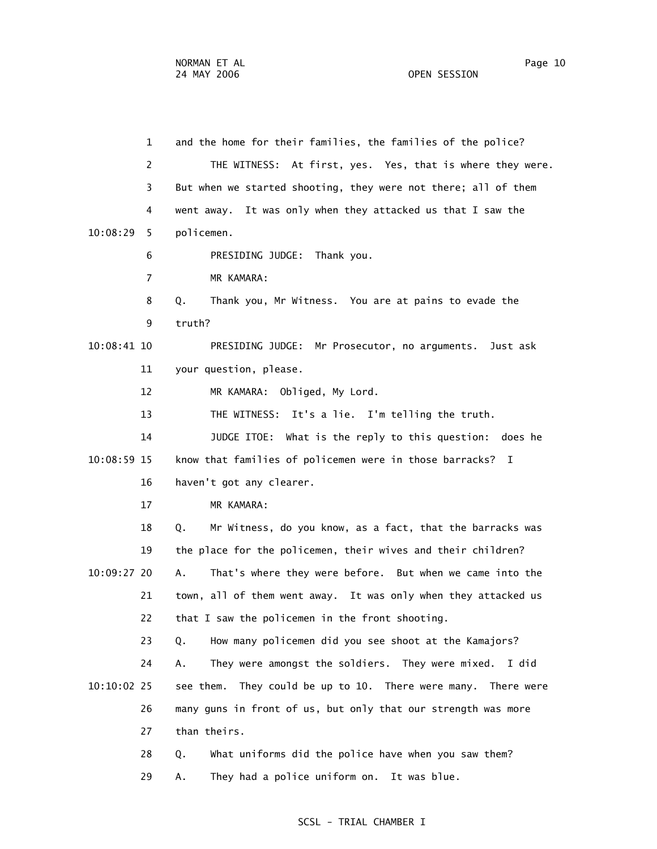1 and the home for their families, the families of the police? 2 THE WITNESS: At first, yes. Yes, that is where they were. 3 But when we started shooting, they were not there; all of them 4 went away. It was only when they attacked us that I saw the 10:08:29 5 policemen. 6 PRESIDING JUDGE: Thank you. 7 MR KAMARA: 8 Q. Thank you, Mr Witness. You are at pains to evade the 9 truth? 10:08:41 10 PRESIDING JUDGE: Mr Prosecutor, no arguments. Just ask 11 your question, please. 12 MR KAMARA: Obliged, My Lord. 13 THE WITNESS: It's a lie. I'm telling the truth. 14 JUDGE ITOE: What is the reply to this question: does he 10:08:59 15 know that families of policemen were in those barracks? I 16 haven't got any clearer. 17 MR KAMARA: 18 Q. Mr Witness, do you know, as a fact, that the barracks was 19 the place for the policemen, their wives and their children? 10:09:27 20 A. That's where they were before. But when we came into the 21 town, all of them went away. It was only when they attacked us 22 that I saw the policemen in the front shooting. 23 Q. How many policemen did you see shoot at the Kamajors? 24 A. They were amongst the soldiers. They were mixed. I did 10:10:02 25 see them. They could be up to 10. There were many. There were 26 many guns in front of us, but only that our strength was more 27 than theirs. 28 Q. What uniforms did the police have when you saw them? 29 A. They had a police uniform on. It was blue.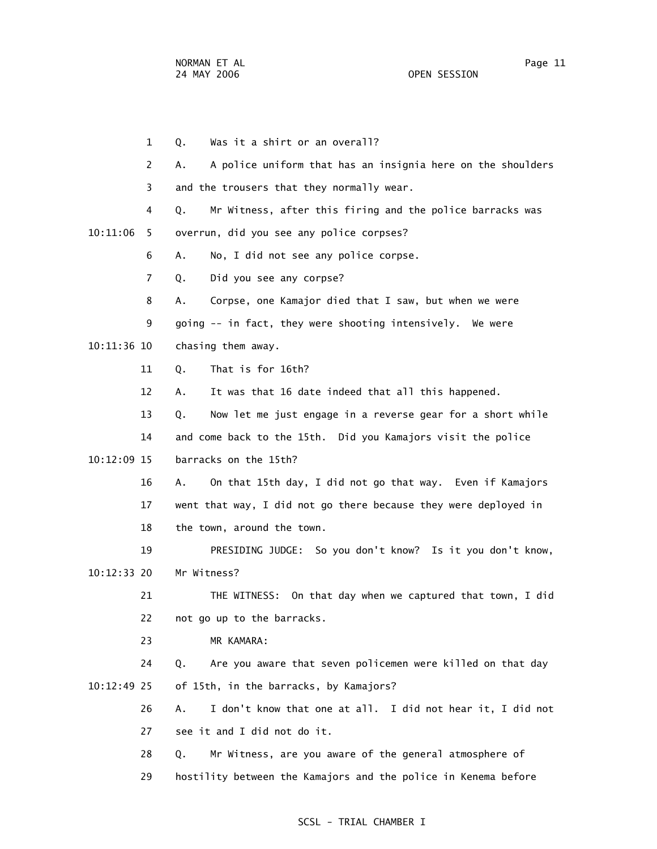1 Q. Was it a shirt or an overall? 2 A. A police uniform that has an insignia here on the shoulders 3 and the trousers that they normally wear. 4 Q. Mr Witness, after this firing and the police barracks was 10:11:06 5 overrun, did you see any police corpses? 6 A. No, I did not see any police corpse. 7 Q. Did you see any corpse? 8 A. Corpse, one Kamajor died that I saw, but when we were 9 going -- in fact, they were shooting intensively. We were 10:11:36 10 chasing them away. 11 Q. That is for 16th? 12 A. It was that 16 date indeed that all this happened. 13 Q. Now let me just engage in a reverse gear for a short while 14 and come back to the 15th. Did you Kamajors visit the police 10:12:09 15 barracks on the 15th? 16 A. On that 15th day, I did not go that way. Even if Kamajors 17 went that way, I did not go there because they were deployed in 18 the town, around the town. 19 PRESIDING JUDGE: So you don't know? Is it you don't know, 10:12:33 20 Mr Witness? 21 THE WITNESS: On that day when we captured that town, I did 22 not go up to the barracks. 23 MR KAMARA: 24 Q. Are you aware that seven policemen were killed on that day 10:12:49 25 of 15th, in the barracks, by Kamajors? 26 A. I don't know that one at all. I did not hear it, I did not 27 see it and I did not do it. 28 Q. Mr Witness, are you aware of the general atmosphere of 29 hostility between the Kamajors and the police in Kenema before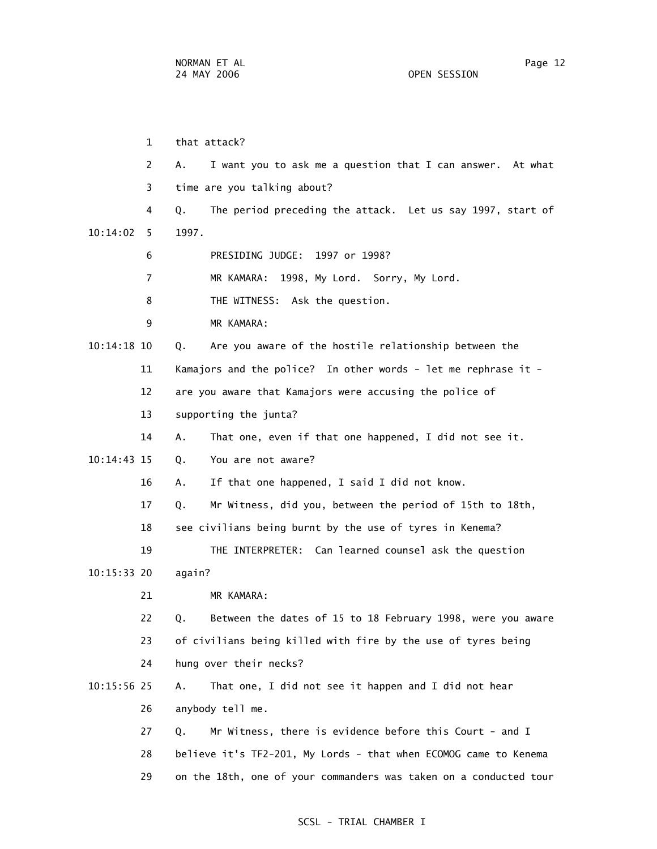1 that attack? 2 A. I want you to ask me a question that I can answer. At what 3 time are you talking about? 4 Q. The period preceding the attack. Let us say 1997, start of 10:14:02 5 1997. 6 PRESIDING JUDGE: 1997 or 1998? 7 MR KAMARA: 1998, My Lord. Sorry, My Lord. 8 THE WITNESS: Ask the question. 9 MR KAMARA: 10:14:18 10 Q. Are you aware of the hostile relationship between the 11 Kamajors and the police? In other words - let me rephrase it - 12 are you aware that Kamajors were accusing the police of 13 supporting the junta? 14 A. That one, even if that one happened, I did not see it. 10:14:43 15 Q. You are not aware? 16 A. If that one happened, I said I did not know. 17 Q. Mr Witness, did you, between the period of 15th to 18th, 18 see civilians being burnt by the use of tyres in Kenema? 19 THE INTERPRETER: Can learned counsel ask the question 10:15:33 20 again? 21 MR KAMARA: 22 Q. Between the dates of 15 to 18 February 1998, were you aware 23 of civilians being killed with fire by the use of tyres being 24 hung over their necks? 10:15:56 25 A. That one, I did not see it happen and I did not hear 26 anybody tell me. 27 Q. Mr Witness, there is evidence before this Court - and I 28 believe it's TF2-201, My Lords - that when ECOMOG came to Kenema 29 on the 18th, one of your commanders was taken on a conducted tour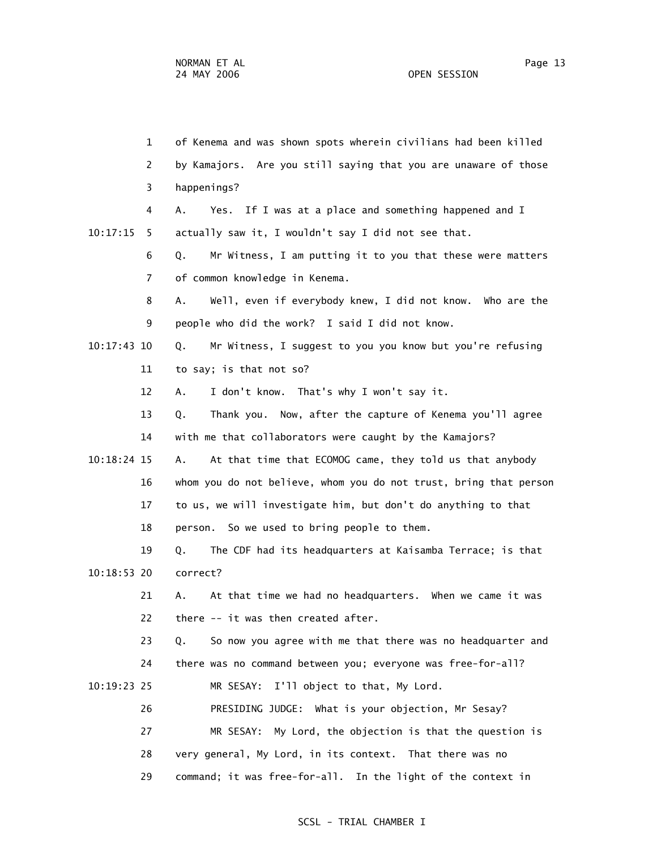1 of Kenema and was shown spots wherein civilians had been killed 2 by Kamajors. Are you still saying that you are unaware of those 3 happenings? 4 A. Yes. If I was at a place and something happened and I 10:17:15 5 actually saw it, I wouldn't say I did not see that. 6 Q. Mr Witness, I am putting it to you that these were matters 7 of common knowledge in Kenema. 8 A. Well, even if everybody knew, I did not know. Who are the 9 people who did the work? I said I did not know. 10:17:43 10 Q. Mr Witness, I suggest to you you know but you're refusing 11 to say; is that not so? 12 A. I don't know. That's why I won't say it. 13 Q. Thank you. Now, after the capture of Kenema you'll agree 14 with me that collaborators were caught by the Kamajors? 10:18:24 15 A. At that time that ECOMOG came, they told us that anybody 16 whom you do not believe, whom you do not trust, bring that person 17 to us, we will investigate him, but don't do anything to that 18 person. So we used to bring people to them. 19 Q. The CDF had its headquarters at Kaisamba Terrace; is that 10:18:53 20 correct? 21 A. At that time we had no headquarters. When we came it was 22 there -- it was then created after. 23 Q. So now you agree with me that there was no headquarter and 24 there was no command between you; everyone was free-for-all? 10:19:23 25 MR SESAY: I'll object to that, My Lord. 26 PRESIDING JUDGE: What is your objection, Mr Sesay? 27 MR SESAY: My Lord, the objection is that the question is 28 very general, My Lord, in its context. That there was no 29 command; it was free-for-all. In the light of the context in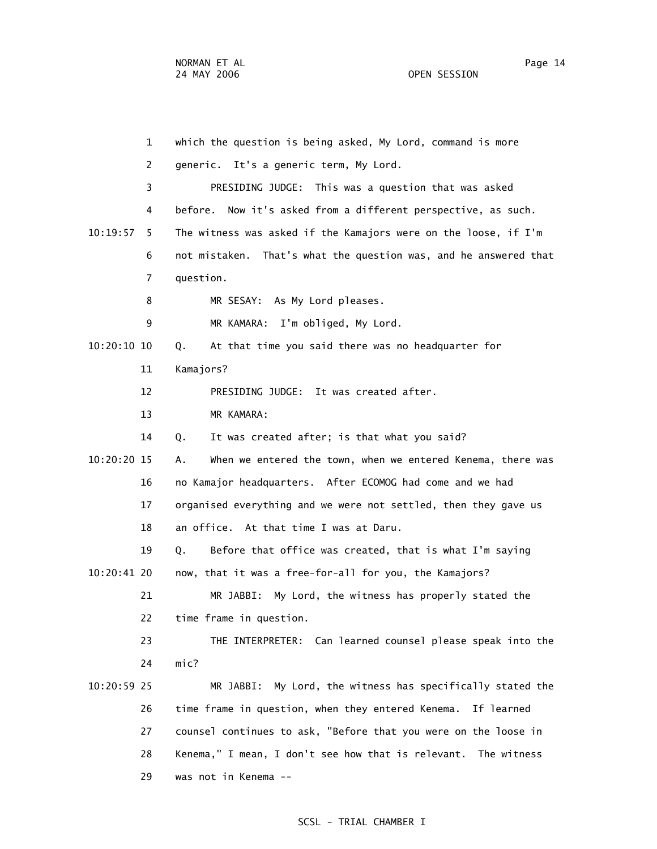1 which the question is being asked, My Lord, command is more 2 generic. It's a generic term, My Lord. 3 PRESIDING JUDGE: This was a question that was asked 4 before. Now it's asked from a different perspective, as such. 10:19:57 5 The witness was asked if the Kamajors were on the loose, if I'm 6 not mistaken. That's what the question was, and he answered that 7 question. 8 MR SESAY: As My Lord pleases. 9 MR KAMARA: I'm obliged, My Lord. 10:20:10 10 Q. At that time you said there was no headquarter for 11 Kamajors? 12 PRESIDING JUDGE: It was created after. 13 MR KAMARA: 14 Q. It was created after; is that what you said? 10:20:20 15 A. When we entered the town, when we entered Kenema, there was 16 no Kamajor headquarters. After ECOMOG had come and we had 17 organised everything and we were not settled, then they gave us 18 an office. At that time I was at Daru. 19 Q. Before that office was created, that is what I'm saying 10:20:41 20 now, that it was a free-for-all for you, the Kamajors? 21 MR JABBI: My Lord, the witness has properly stated the 22 time frame in question. 23 THE INTERPRETER: Can learned counsel please speak into the 24 mic? 10:20:59 25 MR JABBI: My Lord, the witness has specifically stated the 26 time frame in question, when they entered Kenema. If learned 27 counsel continues to ask, "Before that you were on the loose in 28 Kenema," I mean, I don't see how that is relevant. The witness 29 was not in Kenema --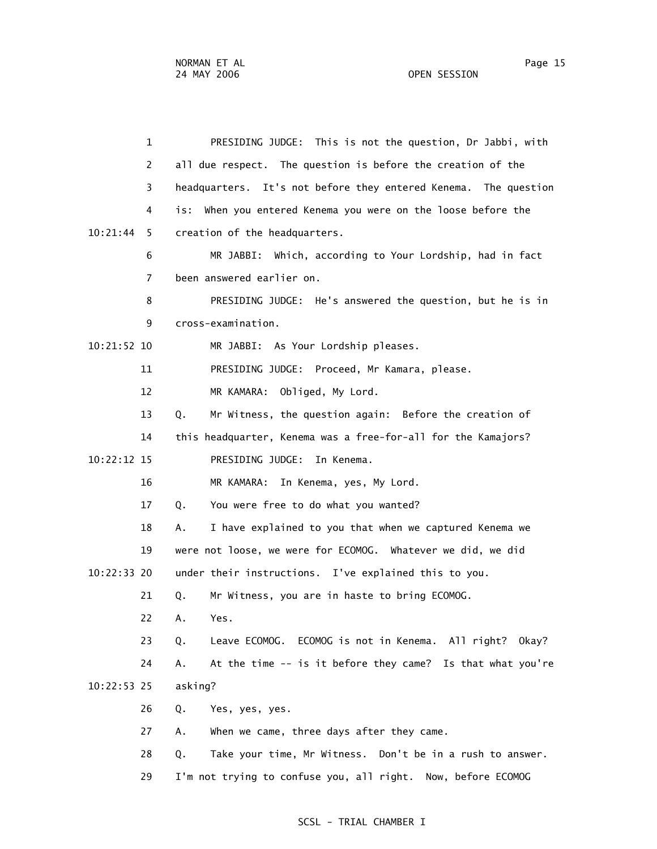1 PRESIDING JUDGE: This is not the question, Dr Jabbi, with 2 all due respect. The question is before the creation of the 3 headquarters. It's not before they entered Kenema. The question 4 is: When you entered Kenema you were on the loose before the 10:21:44 5 creation of the headquarters. 6 MR JABBI: Which, according to Your Lordship, had in fact 7 been answered earlier on. 8 PRESIDING JUDGE: He's answered the question, but he is in 9 cross-examination. 10:21:52 10 MR JABBI: As Your Lordship pleases. 11 PRESIDING JUDGE: Proceed, Mr Kamara, please. 12 MR KAMARA: Obliged, My Lord. 13 Q. Mr Witness, the question again: Before the creation of 14 this headquarter, Kenema was a free-for-all for the Kamajors? 10:22:12 15 PRESIDING JUDGE: In Kenema. 16 MR KAMARA: In Kenema, yes, My Lord. 17 Q. You were free to do what you wanted? 18 A. I have explained to you that when we captured Kenema we 19 were not loose, we were for ECOMOG. Whatever we did, we did 10:22:33 20 under their instructions. I've explained this to you. 21 Q. Mr Witness, you are in haste to bring ECOMOG. 22 A. Yes. 23 Q. Leave ECOMOG. ECOMOG is not in Kenema. All right? Okay? 24 A. At the time -- is it before they came? Is that what you're 10:22:53 25 asking? 26 Q. Yes, yes, yes. 27 A. When we came, three days after they came. 28 Q. Take your time, Mr Witness. Don't be in a rush to answer. 29 I'm not trying to confuse you, all right. Now, before ECOMOG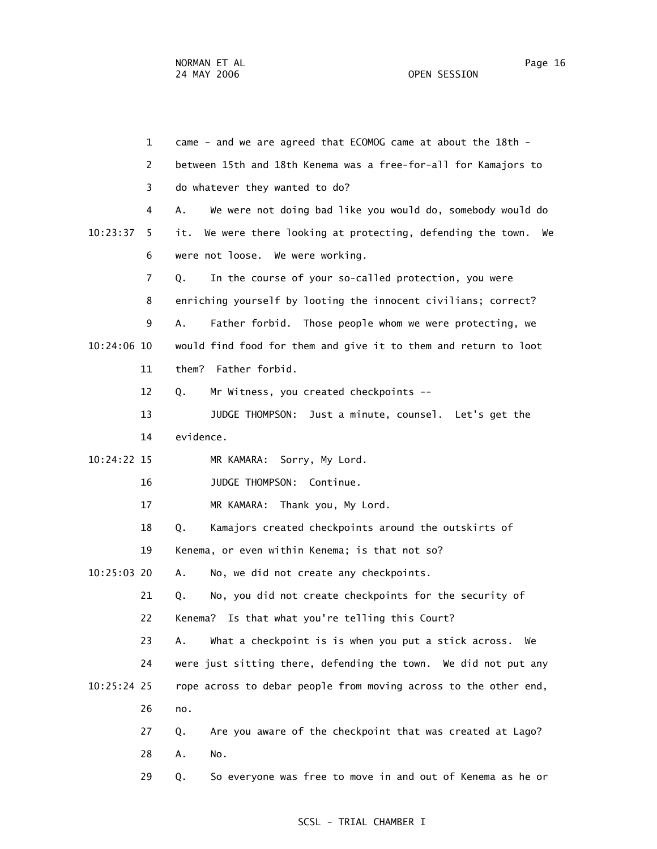1 came - and we are agreed that ECOMOG came at about the 18th - 2 between 15th and 18th Kenema was a free-for-all for Kamajors to 3 do whatever they wanted to do? 4 A. We were not doing bad like you would do, somebody would do 10:23:37 5 it. We were there looking at protecting, defending the town. We 6 were not loose. We were working. 7 Q. In the course of your so-called protection, you were 8 enriching yourself by looting the innocent civilians; correct? 9 A. Father forbid. Those people whom we were protecting, we 10:24:06 10 would find food for them and give it to them and return to loot 11 them? Father forbid. 12 Q. Mr Witness, you created checkpoints -- 13 JUDGE THOMPSON: Just a minute, counsel. Let's get the 14 evidence. 10:24:22 15 MR KAMARA: Sorry, My Lord. 16 JUDGE THOMPSON: Continue. 17 MR KAMARA: Thank you, My Lord. 18 Q. Kamajors created checkpoints around the outskirts of 19 Kenema, or even within Kenema; is that not so? 10:25:03 20 A. No, we did not create any checkpoints. 21 Q. No, you did not create checkpoints for the security of 22 Kenema? Is that what you're telling this Court? 23 A. What a checkpoint is is when you put a stick across. We 24 were just sitting there, defending the town. We did not put any 10:25:24 25 rope across to debar people from moving across to the other end, 26 no. 27 Q. Are you aware of the checkpoint that was created at Lago? 28 A. No. 29 Q. So everyone was free to move in and out of Kenema as he or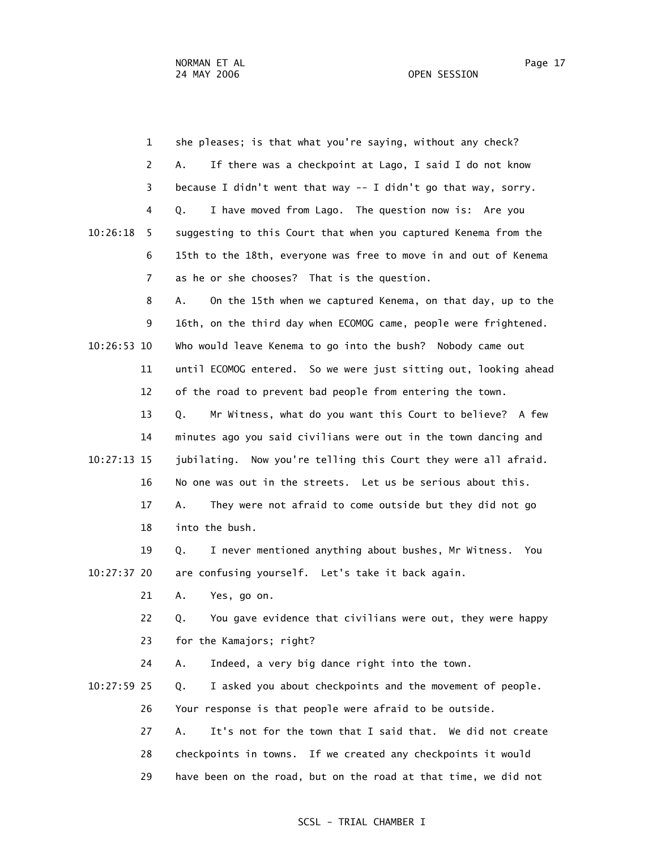OPEN SESSION

|             | $\mathbf{1}$   | she pleases; is that what you're saying, without any check?       |
|-------------|----------------|-------------------------------------------------------------------|
|             | 2              | If there was a checkpoint at Lago, I said I do not know<br>А.     |
|             | 3              | because I didn't went that way -- I didn't go that way, sorry.    |
|             | 4              | I have moved from Lago. The question now is: Are you<br>Q.        |
| 10:26:18    | 5              | suggesting to this Court that when you captured Kenema from the   |
|             | 6              | 15th to the 18th, everyone was free to move in and out of Kenema  |
|             | $\overline{7}$ | as he or she chooses? That is the question.                       |
|             | 8              | On the 15th when we captured Kenema, on that day, up to the<br>А. |
|             | 9              | 16th, on the third day when ECOMOG came, people were frightened.  |
| 10:26:53 10 |                | Who would leave Kenema to go into the bush? Nobody came out       |
|             | 11             | until ECOMOG entered. So we were just sitting out, looking ahead  |
|             | 12             | of the road to prevent bad people from entering the town.         |
|             | 13             | Mr Witness, what do you want this Court to believe? A few<br>Q.   |
|             | 14             | minutes ago you said civilians were out in the town dancing and   |
| 10:27:13 15 |                | jubilating. Now you're telling this Court they were all afraid.   |
|             | 16             | No one was out in the streets. Let us be serious about this.      |
|             | 17             | They were not afraid to come outside but they did not go<br>А.    |
|             | 18             | into the bush.                                                    |
|             | 19             | I never mentioned anything about bushes, Mr Witness.<br>Q.<br>You |
| 10:27:37 20 |                | are confusing yourself. Let's take it back again.                 |
|             | 21             | А.<br>Yes, go on.                                                 |
|             | 22             | You gave evidence that civilians were out, they were happy<br>Q.  |
|             | 23             | for the Kamajors; right?                                          |
|             | 24             | Indeed, a very big dance right into the town.<br>Α.               |
| 10:27:59 25 |                | I asked you about checkpoints and the movement of people.<br>Q.   |
|             | 26             | Your response is that people were afraid to be outside.           |
|             | 27             | It's not for the town that I said that. We did not create<br>Α.   |
|             | 28             | checkpoints in towns. If we created any checkpoints it would      |
|             | 29             | have been on the road, but on the road at that time, we did not   |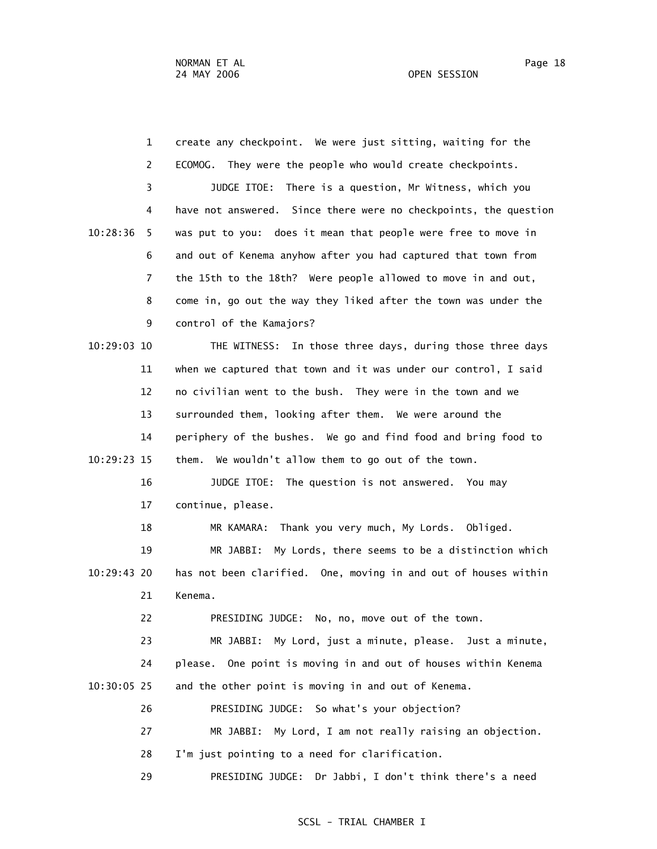1 create any checkpoint. We were just sitting, waiting for the 2 ECOMOG. They were the people who would create checkpoints. 3 JUDGE ITOE: There is a question, Mr Witness, which you 4 have not answered. Since there were no checkpoints, the question 10:28:36 5 was put to you: does it mean that people were free to move in 6 and out of Kenema anyhow after you had captured that town from 7 the 15th to the 18th? Were people allowed to move in and out, 8 come in, go out the way they liked after the town was under the 9 control of the Kamajors? 10:29:03 10 THE WITNESS: In those three days, during those three days 11 when we captured that town and it was under our control, I said 12 no civilian went to the bush. They were in the town and we 13 surrounded them, looking after them. We were around the 14 periphery of the bushes. We go and find food and bring food to 10:29:23 15 them. We wouldn't allow them to go out of the town. 16 JUDGE ITOE: The question is not answered. You may 17 continue, please. 18 MR KAMARA: Thank you very much, My Lords. Obliged. 19 MR JABBI: My Lords, there seems to be a distinction which 10:29:43 20 has not been clarified. One, moving in and out of houses within 21 Kenema. 22 PRESIDING JUDGE: No, no, move out of the town. 23 MR JABBI: My Lord, just a minute, please. Just a minute, 24 please. One point is moving in and out of houses within Kenema 10:30:05 25 and the other point is moving in and out of Kenema. 26 PRESIDING JUDGE: So what's your objection? 27 MR JABBI: My Lord, I am not really raising an objection. 28 I'm just pointing to a need for clarification. 29 PRESIDING JUDGE: Dr Jabbi, I don't think there's a need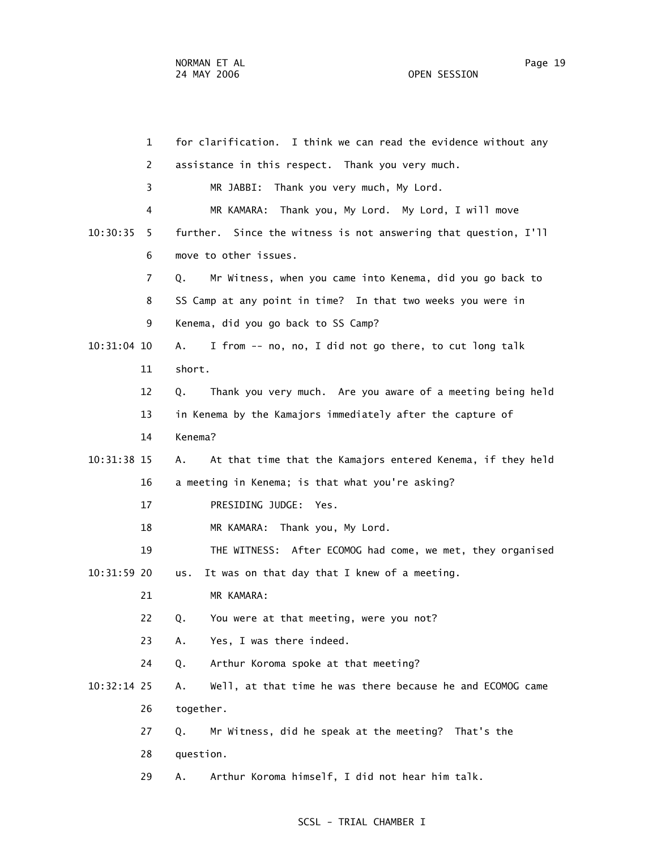| $\mathbf{1}$  | for clarification. I think we can read the evidence without any   |
|---------------|-------------------------------------------------------------------|
| 2             | assistance in this respect. Thank you very much.                  |
| 3             | Thank you very much, My Lord.<br>MR JABBI:                        |
| 4             | MR KAMARA:<br>Thank you, My Lord. My Lord, I will move            |
| 10:30:35<br>5 | further. Since the witness is not answering that question, I'll   |
| 6             | move to other issues.                                             |
| 7             | Mr Witness, when you came into Kenema, did you go back to<br>Q.   |
| 8             | SS Camp at any point in time? In that two weeks you were in       |
| 9             | Kenema, did you go back to SS Camp?                               |
| 10:31:04 10   | I from -- no, no, I did not go there, to cut long talk<br>А.      |
| 11            | short.                                                            |
| 12            | Thank you very much. Are you aware of a meeting being held<br>Q.  |
| 13            | in Kenema by the Kamajors immediately after the capture of        |
| 14            | Kenema?                                                           |
| 10:31:38 15   | At that time that the Kamajors entered Kenema, if they held<br>Α. |
| 16            | a meeting in Kenema; is that what you're asking?                  |
| 17            | PRESIDING JUDGE: Yes.                                             |
| 18            | MR KAMARA: Thank you, My Lord.                                    |
| 19            | THE WITNESS: After ECOMOG had come, we met, they organised        |
| 10:31:59 20   | It was on that day that I knew of a meeting.<br>us.               |
| 21            | MR KAMARA:                                                        |
| 22            | You were at that meeting, were you not?<br>Q.                     |
| 23            | Yes, I was there indeed.<br>А.                                    |
| 24            | Arthur Koroma spoke at that meeting?<br>Q.                        |
| $10:32:14$ 25 | Well, at that time he was there because he and ECOMOG came<br>Α.  |
| 26            | together.                                                         |
| 27            | Mr Witness, did he speak at the meeting? That's the<br>Q.         |
| 28            | question.                                                         |
| 29            | Arthur Koroma himself, I did not hear him talk.<br>Α.             |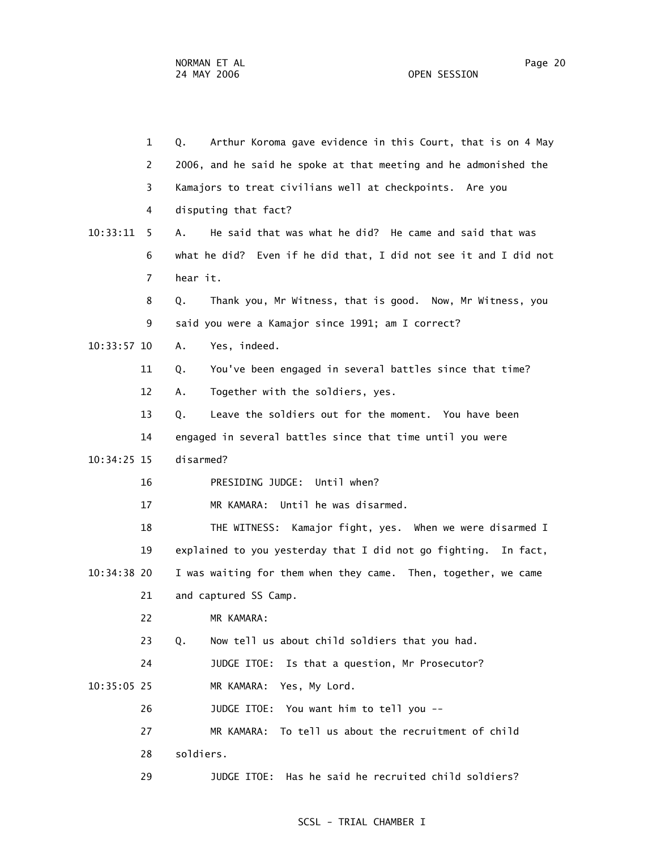|               | $\mathbf{1}$<br>Q. | Arthur Koroma gave evidence in this Court, that is on 4 May      |
|---------------|--------------------|------------------------------------------------------------------|
|               | 2                  | 2006, and he said he spoke at that meeting and he admonished the |
|               | 3                  | Kamajors to treat civilians well at checkpoints. Are you         |
|               | 4                  | disputing that fact?                                             |
| 10:33:11      | A.<br>5.           | He said that was what he did? He came and said that was          |
|               | 6                  | what he did? Even if he did that, I did not see it and I did not |
|               | $\overline{7}$     | hear it.                                                         |
|               | 8<br>Q.            | Thank you, Mr Witness, that is good. Now, Mr Witness, you        |
|               | 9                  | said you were a Kamajor since 1991; am I correct?                |
| $10:33:57$ 10 | Α.                 | Yes, indeed.                                                     |
|               | 11<br>Q.           | You've been engaged in several battles since that time?          |
|               | 12<br>А.           | Together with the soldiers, yes.                                 |
|               | 13<br>Q.           | Leave the soldiers out for the moment. You have been             |
|               | 14                 | engaged in several battles since that time until you were        |
| 10:34:25 15   |                    | disarmed?                                                        |
|               | 16                 | PRESIDING JUDGE: Until when?                                     |
|               | 17                 | MR KAMARA: Until he was disarmed.                                |
|               | 18                 | THE WITNESS: Kamajor fight, yes. When we were disarmed I         |
|               | 19                 | explained to you yesterday that I did not go fighting. In fact,  |
| 10:34:38 20   |                    | I was waiting for them when they came. Then, together, we came   |
|               | 21                 | and captured SS Camp.                                            |
|               | 22                 | MR KAMARA:                                                       |
|               | 23<br>Q.           | Now tell us about child soldiers that you had.                   |
|               | 24                 | JUDGE ITOE: Is that a question, Mr Prosecutor?                   |
| 10:35:05 25   |                    | MR KAMARA: Yes, My Lord.                                         |
|               | 26                 | JUDGE ITOE: You want him to tell you --                          |
|               | 27                 | To tell us about the recruitment of child<br>MR KAMARA:          |
|               | 28                 | soldiers.                                                        |
|               | 29                 | Has he said he recruited child soldiers?<br>JUDGE ITOE:          |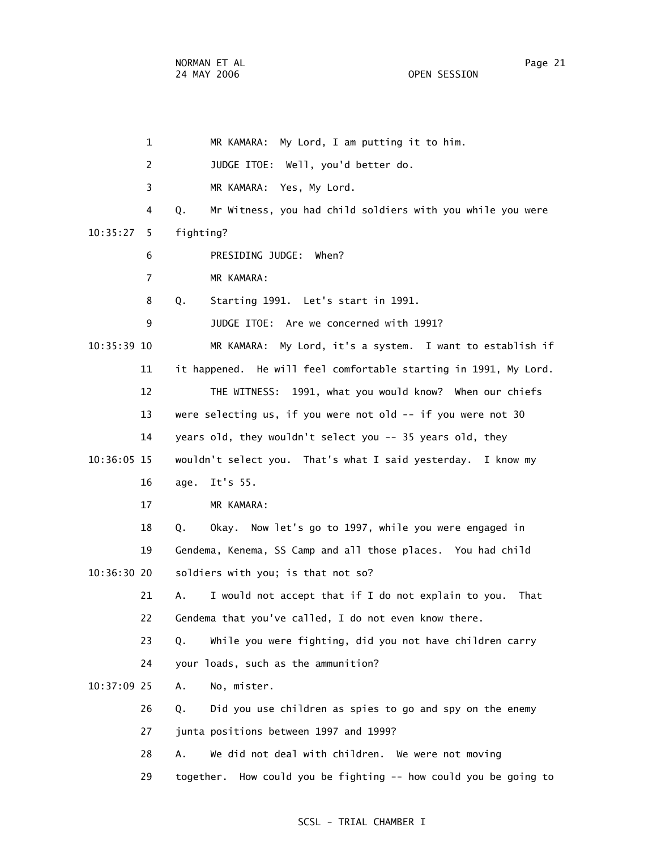1 MR KAMARA: My Lord, I am putting it to him. 2 JUDGE ITOE: Well, you'd better do. 3 MR KAMARA: Yes, My Lord. 4 Q. Mr Witness, you had child soldiers with you while you were 10:35:27 5 fighting? 6 PRESIDING JUDGE: When? 7 MR KAMARA: 8 Q. Starting 1991. Let's start in 1991. 9 JUDGE ITOE: Are we concerned with 1991? 10:35:39 10 MR KAMARA: My Lord, it's a system. I want to establish if 11 it happened. He will feel comfortable starting in 1991, My Lord. 12 THE WITNESS: 1991, what you would know? When our chiefs 13 were selecting us, if you were not old -- if you were not 30 14 years old, they wouldn't select you -- 35 years old, they 10:36:05 15 wouldn't select you. That's what I said yesterday. I know my 16 age. It's 55. 17 MR KAMARA: 18 Q. Okay. Now let's go to 1997, while you were engaged in 19 Gendema, Kenema, SS Camp and all those places. You had child 10:36:30 20 soldiers with you; is that not so? 21 A. I would not accept that if I do not explain to you. That 22 Gendema that you've called, I do not even know there. 23 Q. While you were fighting, did you not have children carry 24 your loads, such as the ammunition? 10:37:09 25 A. No, mister. 26 Q. Did you use children as spies to go and spy on the enemy 27 junta positions between 1997 and 1999? 28 A. We did not deal with children. We were not moving 29 together. How could you be fighting -- how could you be going to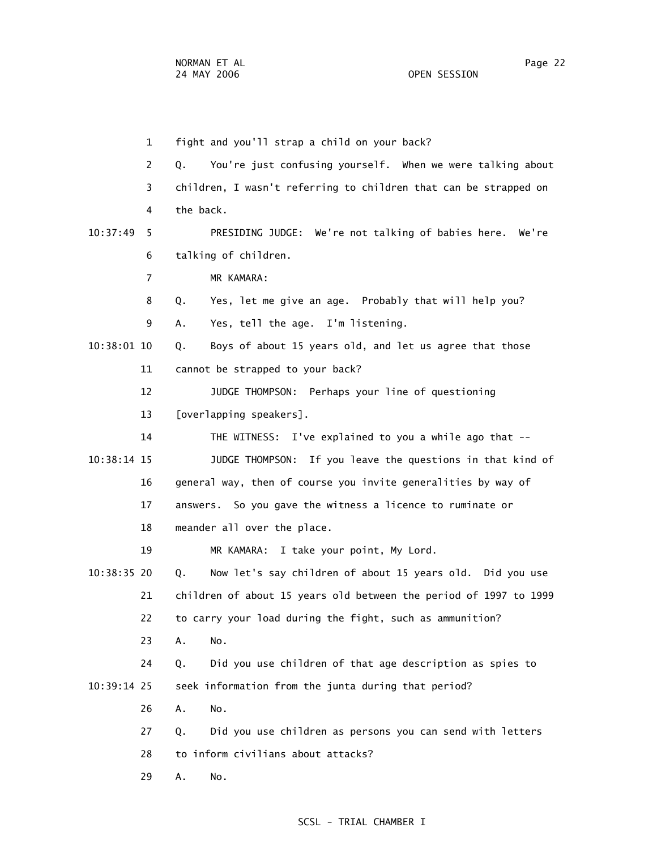1 fight and you'll strap a child on your back? 2 Q. You're just confusing yourself. When we were talking about 3 children, I wasn't referring to children that can be strapped on 4 the back. 10:37:49 5 PRESIDING JUDGE: We're not talking of babies here. We're 6 talking of children. 7 MR KAMARA: 8 Q. Yes, let me give an age. Probably that will help you? 9 A. Yes, tell the age. I'm listening. 10:38:01 10 Q. Boys of about 15 years old, and let us agree that those 11 cannot be strapped to your back? 12 JUDGE THOMPSON: Perhaps your line of questioning 13 [overlapping speakers]. 14 THE WITNESS: I've explained to you a while ago that -- 10:38:14 15 JUDGE THOMPSON: If you leave the questions in that kind of 16 general way, then of course you invite generalities by way of 17 answers. So you gave the witness a licence to ruminate or 18 meander all over the place. 19 MR KAMARA: I take your point, My Lord. 10:38:35 20 Q. Now let's say children of about 15 years old. Did you use 21 children of about 15 years old between the period of 1997 to 1999 22 to carry your load during the fight, such as ammunition? 23 A. No. 24 Q. Did you use children of that age description as spies to 10:39:14 25 seek information from the junta during that period? 26 A. No. 27 Q. Did you use children as persons you can send with letters 28 to inform civilians about attacks? 29 A. No.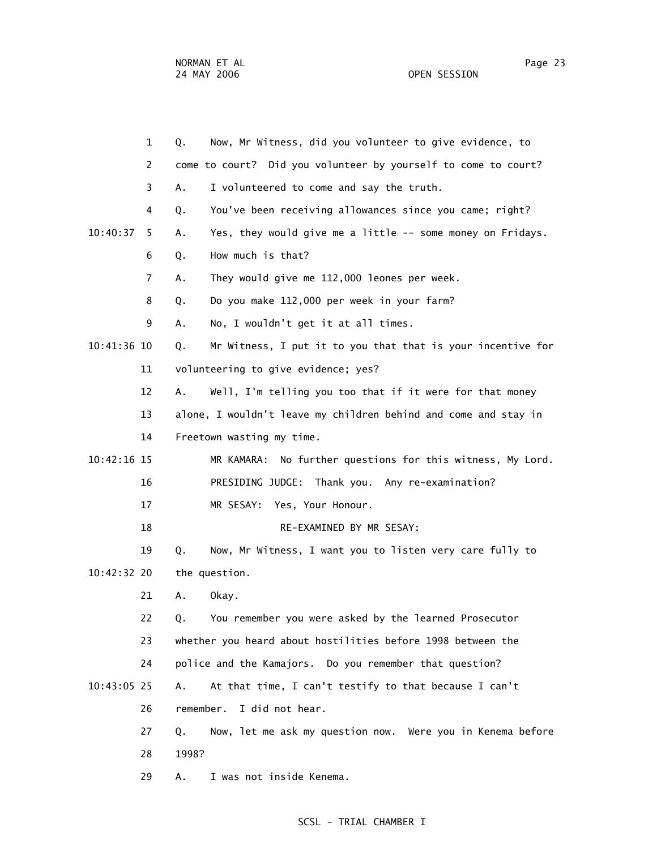1 Q. Now, Mr Witness, did you volunteer to give evidence, to 2 come to court? Did you volunteer by yourself to come to court? 3 A. I volunteered to come and say the truth. 4 Q. You've been receiving allowances since you came; right? 10:40:37 5 A. Yes, they would give me a little -- some money on Fridays. 6 Q. How much is that? 7 A. They would give me 112,000 leones per week. 8 Q. Do you make 112,000 per week in your farm? 9 A. No, I wouldn't get it at all times. 10:41:36 10 Q. Mr Witness, I put it to you that that is your incentive for 11 volunteering to give evidence; yes? 12 A. Well, I'm telling you too that if it were for that money 13 alone, I wouldn't leave my children behind and come and stay in 14 Freetown wasting my time. 10:42:16 15 MR KAMARA: No further questions for this witness, My Lord. 16 PRESIDING JUDGE: Thank you. Any re-examination? 17 MR SESAY: Yes, Your Honour. 18 RE-EXAMINED BY MR SESAY: 19 Q. Now, Mr Witness, I want you to listen very care fully to 10:42:32 20 the question. 21 A. Okay. 22 Q. You remember you were asked by the learned Prosecutor 23 whether you heard about hostilities before 1998 between the 24 police and the Kamajors. Do you remember that question? 10:43:05 25 A. At that time, I can't testify to that because I can't 26 remember. I did not hear. 27 Q. Now, let me ask my question now. Were you in Kenema before 28 1998? 29 A. I was not inside Kenema.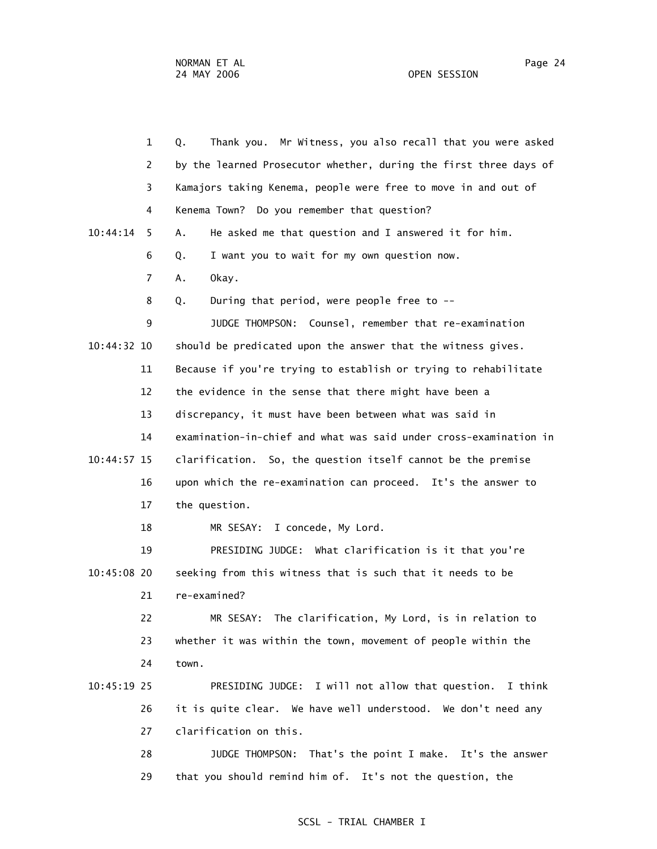1 Q. Thank you. Mr Witness, you also recall that you were asked 2 by the learned Prosecutor whether, during the first three days of 3 Kamajors taking Kenema, people were free to move in and out of 4 Kenema Town? Do you remember that question? 10:44:14 5 A. He asked me that question and I answered it for him. 6 Q. I want you to wait for my own question now. 7 A. Okay. 8 Q. During that period, were people free to -- 9 JUDGE THOMPSON: Counsel, remember that re-examination 10:44:32 10 should be predicated upon the answer that the witness gives. 11 Because if you're trying to establish or trying to rehabilitate 12 the evidence in the sense that there might have been a 13 discrepancy, it must have been between what was said in 14 examination-in-chief and what was said under cross-examination in 10:44:57 15 clarification. So, the question itself cannot be the premise 16 upon which the re-examination can proceed. It's the answer to 17 the question. 18 MR SESAY: I concede, My Lord. 19 PRESIDING JUDGE: What clarification is it that you're 10:45:08 20 seeking from this witness that is such that it needs to be 21 re-examined? 22 MR SESAY: The clarification, My Lord, is in relation to 23 whether it was within the town, movement of people within the 24 town. 10:45:19 25 PRESIDING JUDGE: I will not allow that question. I think 26 it is quite clear. We have well understood. We don't need any 27 clarification on this. 28 JUDGE THOMPSON: That's the point I make. It's the answer 29 that you should remind him of. It's not the question, the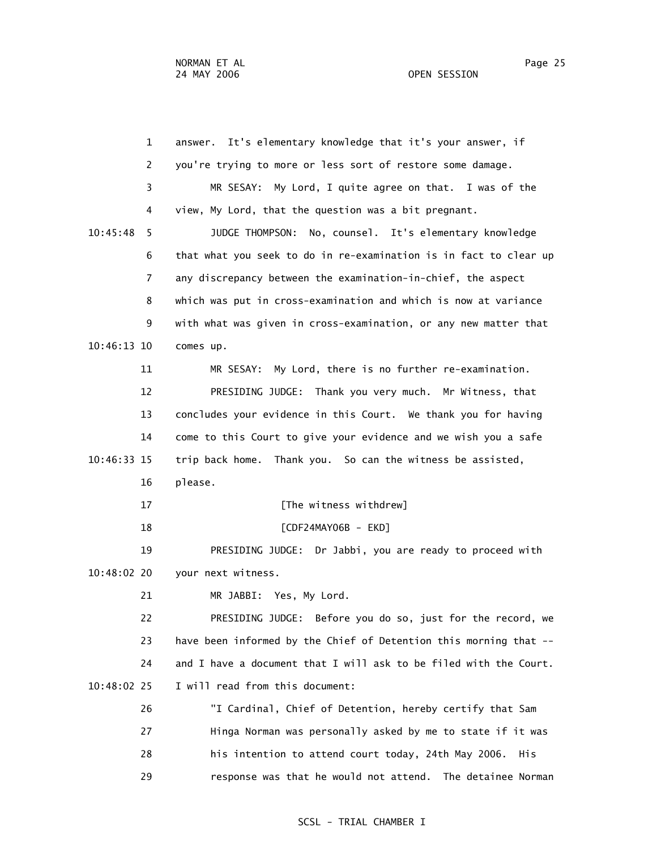1 answer. It's elementary knowledge that it's your answer, if 2 you're trying to more or less sort of restore some damage. 3 MR SESAY: My Lord, I quite agree on that. I was of the 4 view, My Lord, that the question was a bit pregnant. 10:45:48 5 JUDGE THOMPSON: No, counsel. It's elementary knowledge 6 that what you seek to do in re-examination is in fact to clear up 7 any discrepancy between the examination-in-chief, the aspect 8 which was put in cross-examination and which is now at variance 9 with what was given in cross-examination, or any new matter that 10:46:13 10 comes up. 11 MR SESAY: My Lord, there is no further re-examination. 12 PRESIDING JUDGE: Thank you very much. Mr Witness, that 13 concludes your evidence in this Court. We thank you for having 14 come to this Court to give your evidence and we wish you a safe 10:46:33 15 trip back home. Thank you. So can the witness be assisted, 16 please. 17 **IThe witness withdrew**] 18 [CDF24MAY06B - EKD] 19 PRESIDING JUDGE: Dr Jabbi, you are ready to proceed with 10:48:02 20 your next witness. 21 MR JABBI: Yes, My Lord. 22 PRESIDING JUDGE: Before you do so, just for the record, we 23 have been informed by the Chief of Detention this morning that -- 24 and I have a document that I will ask to be filed with the Court. 10:48:02 25 I will read from this document: 26 "I Cardinal, Chief of Detention, hereby certify that Sam 27 Hinga Norman was personally asked by me to state if it was 28 his intention to attend court today, 24th May 2006. His 29 response was that he would not attend. The detainee Norman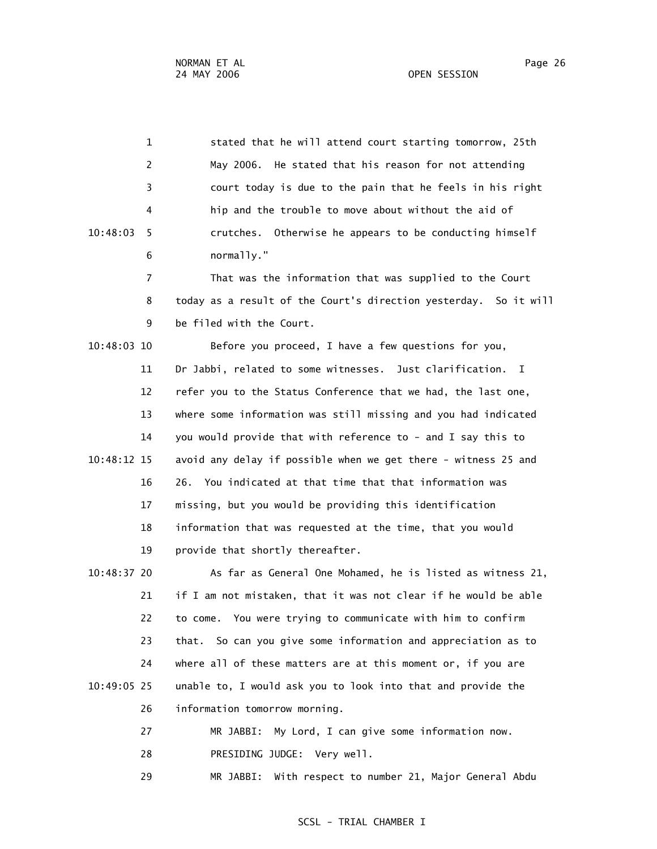1 stated that he will attend court starting tomorrow, 25th 2 May 2006. He stated that his reason for not attending 3 court today is due to the pain that he feels in his right 4 hip and the trouble to move about without the aid of 10:48:03 5 crutches. Otherwise he appears to be conducting himself 6 normally." 7 That was the information that was supplied to the Court 8 today as a result of the Court's direction yesterday. So it will 9 be filed with the Court. 10:48:03 10 Before you proceed, I have a few questions for you, 11 Dr Jabbi, related to some witnesses. Just clarification. I 12 refer you to the Status Conference that we had, the last one, 13 where some information was still missing and you had indicated 14 you would provide that with reference to - and I say this to 10:48:12 15 avoid any delay if possible when we get there - witness 25 and 16 26. You indicated at that time that that information was 17 missing, but you would be providing this identification 18 information that was requested at the time, that you would 19 provide that shortly thereafter. 10:48:37 20 As far as General One Mohamed, he is listed as witness 21, 21 if I am not mistaken, that it was not clear if he would be able 22 to come. You were trying to communicate with him to confirm 23 that. So can you give some information and appreciation as to 24 where all of these matters are at this moment or, if you are 10:49:05 25 unable to, I would ask you to look into that and provide the 26 information tomorrow morning.

> 27 MR JABBI: My Lord, I can give some information now. 28 PRESIDING JUDGE: Very well.

29 MR JABBI: With respect to number 21, Major General Abdu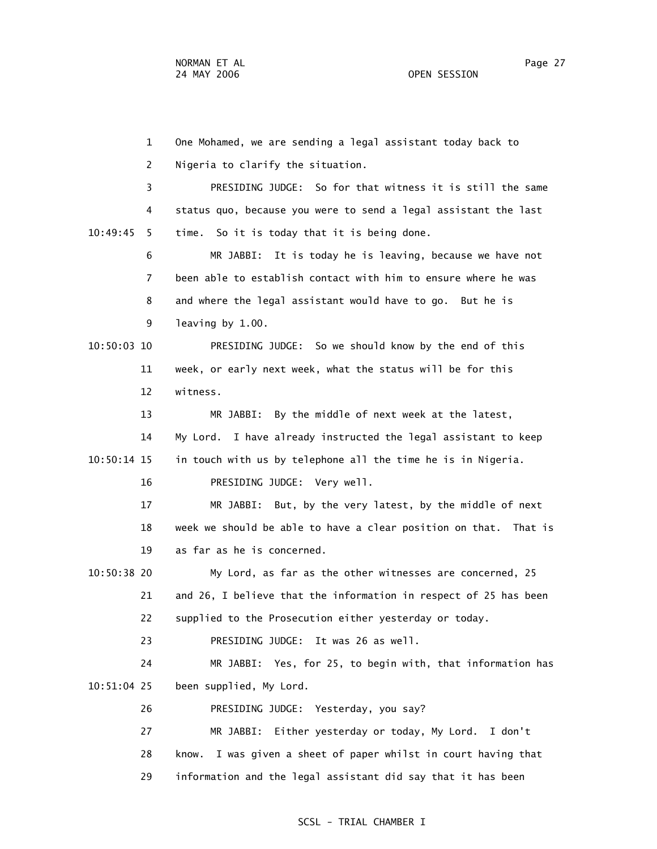1 One Mohamed, we are sending a legal assistant today back to 2 Nigeria to clarify the situation. 3 PRESIDING JUDGE: So for that witness it is still the same 4 status quo, because you were to send a legal assistant the last 10:49:45 5 time. So it is today that it is being done. 6 MR JABBI: It is today he is leaving, because we have not 7 been able to establish contact with him to ensure where he was 8 and where the legal assistant would have to go. But he is 9 leaving by 1.00. 10:50:03 10 PRESIDING JUDGE: So we should know by the end of this 11 week, or early next week, what the status will be for this 12 witness. 13 MR JABBI: By the middle of next week at the latest, 14 My Lord. I have already instructed the legal assistant to keep 10:50:14 15 in touch with us by telephone all the time he is in Nigeria. 16 PRESIDING JUDGE: Very well. 17 MR JABBI: But, by the very latest, by the middle of next 18 week we should be able to have a clear position on that. That is 19 as far as he is concerned. 10:50:38 20 My Lord, as far as the other witnesses are concerned, 25 21 and 26, I believe that the information in respect of 25 has been 22 supplied to the Prosecution either yesterday or today. 23 PRESIDING JUDGE: It was 26 as well. 24 MR JABBI: Yes, for 25, to begin with, that information has 10:51:04 25 been supplied, My Lord. 26 PRESIDING JUDGE: Yesterday, you say? 27 MR JABBI: Either yesterday or today, My Lord. I don't 28 know. I was given a sheet of paper whilst in court having that 29 information and the legal assistant did say that it has been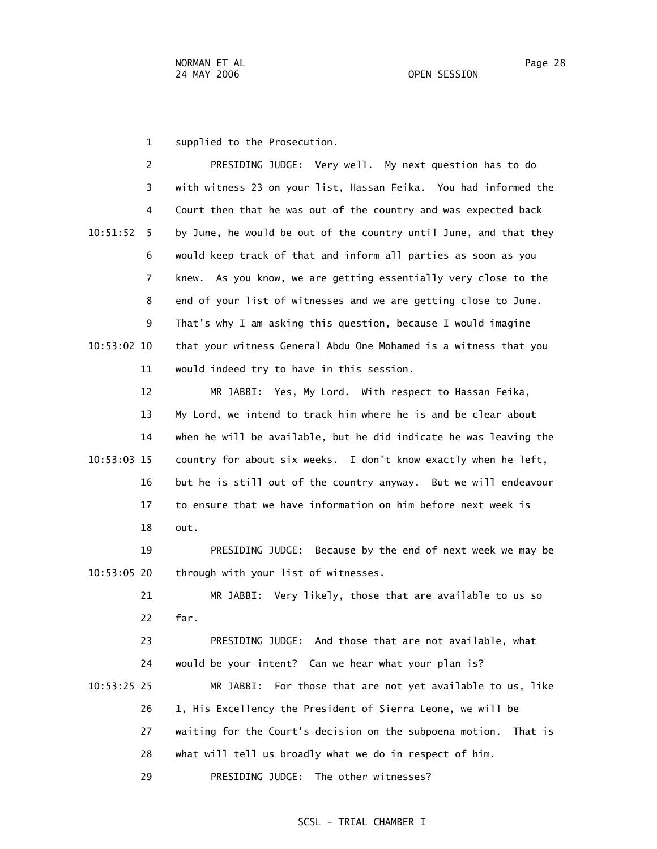1 supplied to the Prosecution.

 2 PRESIDING JUDGE: Very well. My next question has to do 3 with witness 23 on your list, Hassan Feika. You had informed the 4 Court then that he was out of the country and was expected back 10:51:52 5 by June, he would be out of the country until June, and that they 6 would keep track of that and inform all parties as soon as you 7 knew. As you know, we are getting essentially very close to the 8 end of your list of witnesses and we are getting close to June. 9 That's why I am asking this question, because I would imagine 10:53:02 10 that your witness General Abdu One Mohamed is a witness that you 11 would indeed try to have in this session.

 12 MR JABBI: Yes, My Lord. With respect to Hassan Feika, 13 My Lord, we intend to track him where he is and be clear about 14 when he will be available, but he did indicate he was leaving the 10:53:03 15 country for about six weeks. I don't know exactly when he left, 16 but he is still out of the country anyway. But we will endeavour 17 to ensure that we have information on him before next week is 18 out.

 19 PRESIDING JUDGE: Because by the end of next week we may be 10:53:05 20 through with your list of witnesses.

 21 MR JABBI: Very likely, those that are available to us so 22 far.

 23 PRESIDING JUDGE: And those that are not available, what 24 would be your intent? Can we hear what your plan is? 10:53:25 25 MR JABBI: For those that are not yet available to us, like 26 1, His Excellency the President of Sierra Leone, we will be 27 waiting for the Court's decision on the subpoena motion. That is 28 what will tell us broadly what we do in respect of him. 29 PRESIDING JUDGE: The other witnesses?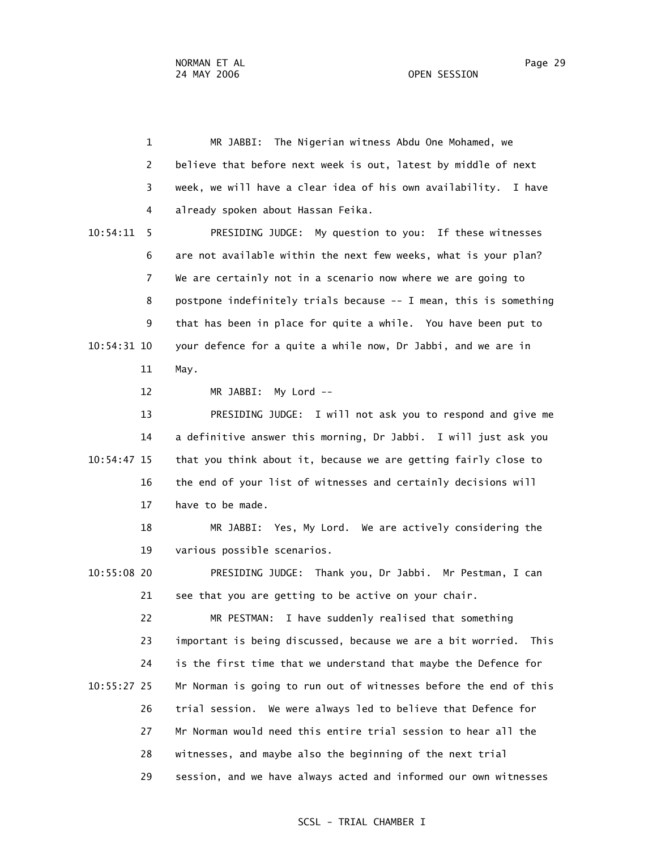1 MR JABBI: The Nigerian witness Abdu One Mohamed, we 2 believe that before next week is out, latest by middle of next 3 week, we will have a clear idea of his own availability. I have 4 already spoken about Hassan Feika.

 10:54:11 5 PRESIDING JUDGE: My question to you: If these witnesses 6 are not available within the next few weeks, what is your plan? 7 We are certainly not in a scenario now where we are going to 8 postpone indefinitely trials because -- I mean, this is something 9 that has been in place for quite a while. You have been put to 10:54:31 10 your defence for a quite a while now, Dr Jabbi, and we are in 11 May.

12 MR JABBI: My Lord --

 13 PRESIDING JUDGE: I will not ask you to respond and give me 14 a definitive answer this morning, Dr Jabbi. I will just ask you 10:54:47 15 that you think about it, because we are getting fairly close to 16 the end of your list of witnesses and certainly decisions will 17 have to be made.

 18 MR JABBI: Yes, My Lord. We are actively considering the 19 various possible scenarios.

 10:55:08 20 PRESIDING JUDGE: Thank you, Dr Jabbi. Mr Pestman, I can 21 see that you are getting to be active on your chair.

 22 MR PESTMAN: I have suddenly realised that something 23 important is being discussed, because we are a bit worried. This 24 is the first time that we understand that maybe the Defence for 10:55:27 25 Mr Norman is going to run out of witnesses before the end of this 26 trial session. We were always led to believe that Defence for 27 Mr Norman would need this entire trial session to hear all the 28 witnesses, and maybe also the beginning of the next trial 29 session, and we have always acted and informed our own witnesses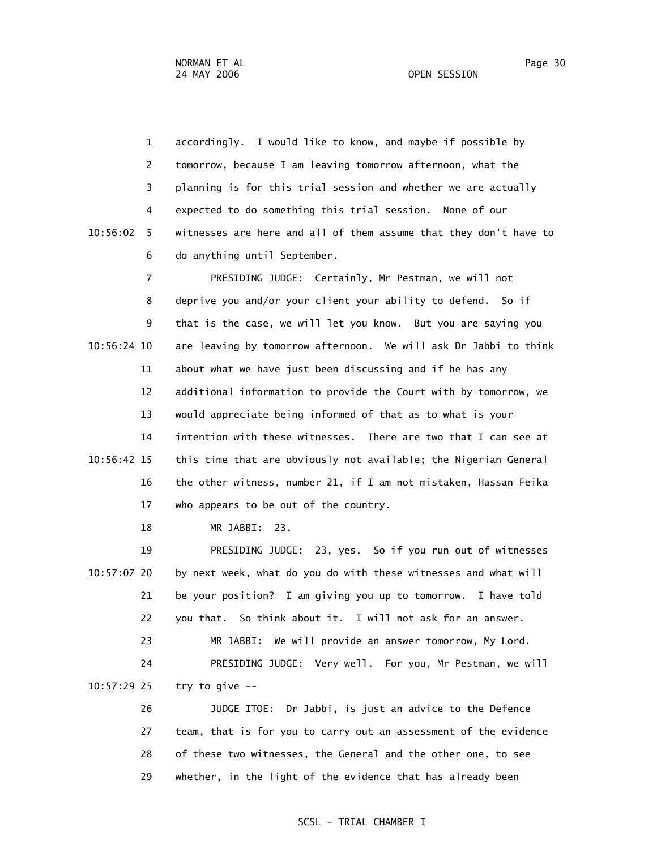1 accordingly. I would like to know, and maybe if possible by 2 tomorrow, because I am leaving tomorrow afternoon, what the 3 planning is for this trial session and whether we are actually 4 expected to do something this trial session. None of our 10:56:02 5 witnesses are here and all of them assume that they don't have to 6 do anything until September.

 7 PRESIDING JUDGE: Certainly, Mr Pestman, we will not 8 deprive you and/or your client your ability to defend. So if 9 that is the case, we will let you know. But you are saying you 10:56:24 10 are leaving by tomorrow afternoon. We will ask Dr Jabbi to think 11 about what we have just been discussing and if he has any 12 additional information to provide the Court with by tomorrow, we 13 would appreciate being informed of that as to what is your 14 intention with these witnesses. There are two that I can see at 10:56:42 15 this time that are obviously not available; the Nigerian General 16 the other witness, number 21, if I am not mistaken, Hassan Feika 17 who appears to be out of the country.

18 MR JABBI: 23.

 19 PRESIDING JUDGE: 23, yes. So if you run out of witnesses 10:57:07 20 by next week, what do you do with these witnesses and what will 21 be your position? I am giving you up to tomorrow. I have told 22 you that. So think about it. I will not ask for an answer. 23 MR JABBI: We will provide an answer tomorrow, My Lord. 24 PRESIDING JUDGE: Very well. For you, Mr Pestman, we will 10:57:29 25 try to give -- 26 JUDGE ITOE: Dr Jabbi, is just an advice to the Defence

 27 team, that is for you to carry out an assessment of the evidence 28 of these two witnesses, the General and the other one, to see 29 whether, in the light of the evidence that has already been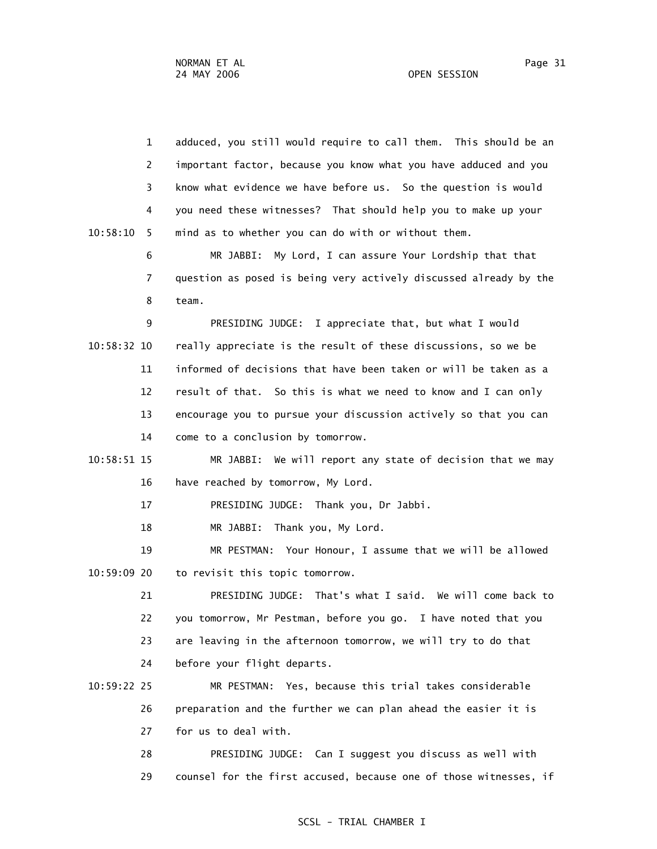1 adduced, you still would require to call them. This should be an 2 important factor, because you know what you have adduced and you 3 know what evidence we have before us. So the question is would 4 you need these witnesses? That should help you to make up your 10:58:10 5 mind as to whether you can do with or without them. 6 MR JABBI: My Lord, I can assure Your Lordship that that 7 question as posed is being very actively discussed already by the 8 team. 9 PRESIDING JUDGE: I appreciate that, but what I would 10:58:32 10 really appreciate is the result of these discussions, so we be 11 informed of decisions that have been taken or will be taken as a 12 result of that. So this is what we need to know and I can only 13 encourage you to pursue your discussion actively so that you can 14 come to a conclusion by tomorrow. 10:58:51 15 MR JABBI: We will report any state of decision that we may 16 have reached by tomorrow, My Lord. 17 PRESIDING JUDGE: Thank you, Dr Jabbi. 18 MR JABBI: Thank you, My Lord. 19 MR PESTMAN: Your Honour, I assume that we will be allowed 10:59:09 20 to revisit this topic tomorrow. 21 PRESIDING JUDGE: That's what I said. We will come back to 22 you tomorrow, Mr Pestman, before you go. I have noted that you 23 are leaving in the afternoon tomorrow, we will try to do that 24 before your flight departs. 10:59:22 25 MR PESTMAN: Yes, because this trial takes considerable 26 preparation and the further we can plan ahead the easier it is 27 for us to deal with. 28 PRESIDING JUDGE: Can I suggest you discuss as well with

29 counsel for the first accused, because one of those witnesses, if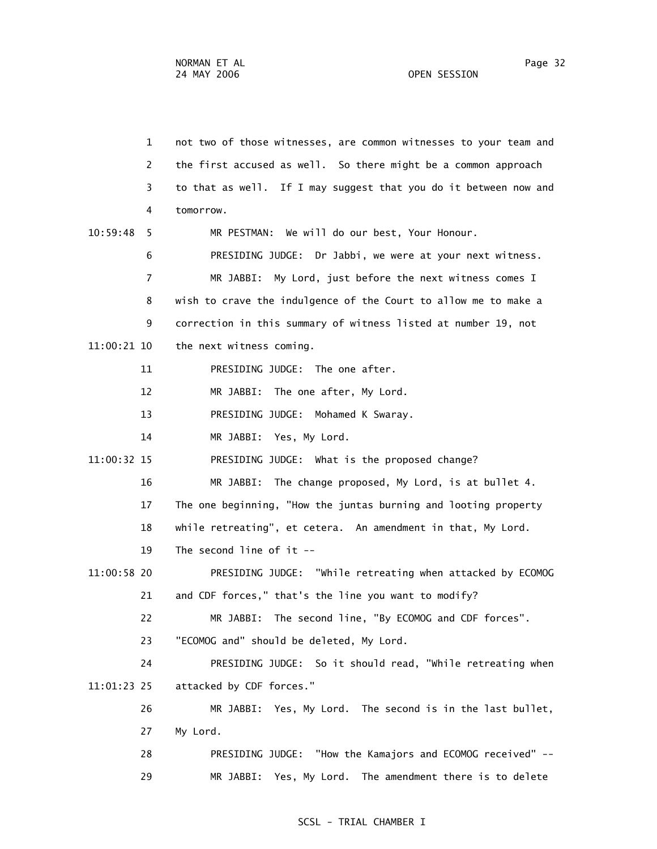1 not two of those witnesses, are common witnesses to your team and 2 the first accused as well. So there might be a common approach 3 to that as well. If I may suggest that you do it between now and 4 tomorrow. 10:59:48 5 MR PESTMAN: We will do our best, Your Honour. 6 PRESIDING JUDGE: Dr Jabbi, we were at your next witness. 7 MR JABBI: My Lord, just before the next witness comes I 8 wish to crave the indulgence of the Court to allow me to make a 9 correction in this summary of witness listed at number 19, not 11:00:21 10 the next witness coming. 11 PRESIDING JUDGE: The one after. 12 MR JABBI: The one after, My Lord. 13 PRESIDING JUDGE: Mohamed K Swaray. 14 MR JABBI: Yes, My Lord. 11:00:32 15 PRESIDING JUDGE: What is the proposed change? 16 MR JABBI: The change proposed, My Lord, is at bullet 4. 17 The one beginning, "How the juntas burning and looting property 18 while retreating", et cetera. An amendment in that, My Lord. 19 The second line of it -- 11:00:58 20 PRESIDING JUDGE: "While retreating when attacked by ECOMOG 21 and CDF forces," that's the line you want to modify? 22 MR JABBI: The second line, "By ECOMOG and CDF forces". 23 "ECOMOG and" should be deleted, My Lord. 24 PRESIDING JUDGE: So it should read, "While retreating when 11:01:23 25 attacked by CDF forces." 26 MR JABBI: Yes, My Lord. The second is in the last bullet, 27 My Lord. 28 PRESIDING JUDGE: "How the Kamajors and ECOMOG received" -- 29 MR JABBI: Yes, My Lord. The amendment there is to delete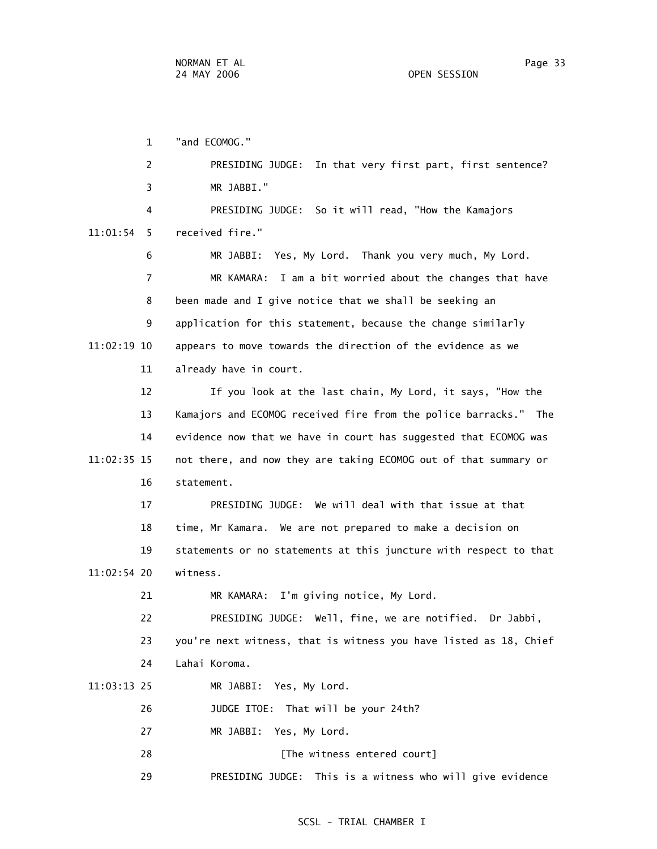1 "and ECOMOG." 2 PRESIDING JUDGE: In that very first part, first sentence? 3 MR JABBI." 4 PRESIDING JUDGE: So it will read, "How the Kamajors 11:01:54 5 received fire." 6 MR JABBI: Yes, My Lord. Thank you very much, My Lord. 7 MR KAMARA: I am a bit worried about the changes that have 8 been made and I give notice that we shall be seeking an 9 application for this statement, because the change similarly 11:02:19 10 appears to move towards the direction of the evidence as we 11 already have in court. 12 If you look at the last chain, My Lord, it says, "How the 13 Kamajors and ECOMOG received fire from the police barracks." The 14 evidence now that we have in court has suggested that ECOMOG was 11:02:35 15 not there, and now they are taking ECOMOG out of that summary or 16 statement. 17 PRESIDING JUDGE: We will deal with that issue at that 18 time, Mr Kamara. We are not prepared to make a decision on 19 statements or no statements at this juncture with respect to that 11:02:54 20 witness. 21 MR KAMARA: I'm giving notice, My Lord. 22 PRESIDING JUDGE: Well, fine, we are notified. Dr Jabbi, 23 you're next witness, that is witness you have listed as 18, Chief 24 Lahai Koroma. 11:03:13 25 MR JABBI: Yes, My Lord. 26 JUDGE ITOE: That will be your 24th? 27 MR JABBI: Yes, My Lord. 28 [The witness entered court]

29 PRESIDING JUDGE: This is a witness who will give evidence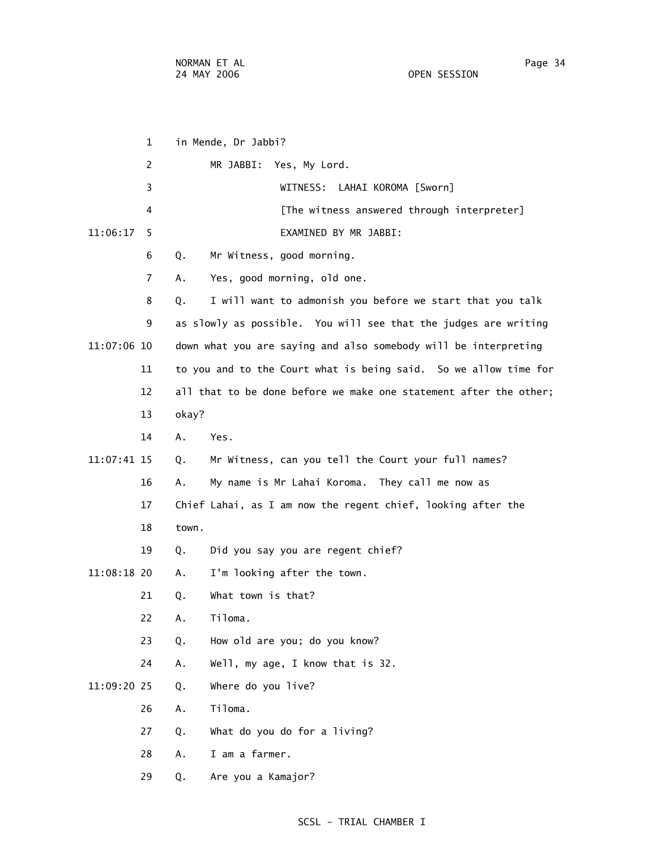1 in Mende, Dr Jabbi? 2 MR JABBI: Yes, My Lord. 3 WITNESS: LAHAI KOROMA [Sworn] 4 **Example 2** [The witness answered through interpreter] 11:06:17 5 EXAMINED BY MR JABBI: 6 Q. Mr Witness, good morning. 7 A. Yes, good morning, old one. 8 Q. I will want to admonish you before we start that you talk 9 as slowly as possible. You will see that the judges are writing 11:07:06 10 down what you are saying and also somebody will be interpreting 11 to you and to the Court what is being said. So we allow time for 12 all that to be done before we make one statement after the other; 13 okay? 14 A. Yes. 11:07:41 15 Q. Mr Witness, can you tell the Court your full names? 16 A. My name is Mr Lahai Koroma. They call me now as 17 Chief Lahai, as I am now the regent chief, looking after the 18 town. 19 Q. Did you say you are regent chief? 11:08:18 20 A. I'm looking after the town. 21 Q. What town is that? 22 A. Tiloma. 23 Q. How old are you; do you know? 24 A. Well, my age, I know that is 32. 11:09:20 25 Q. Where do you live? 26 A. Tiloma. 27 Q. What do you do for a living? 28 A. I am a farmer. 29 Q. Are you a Kamajor?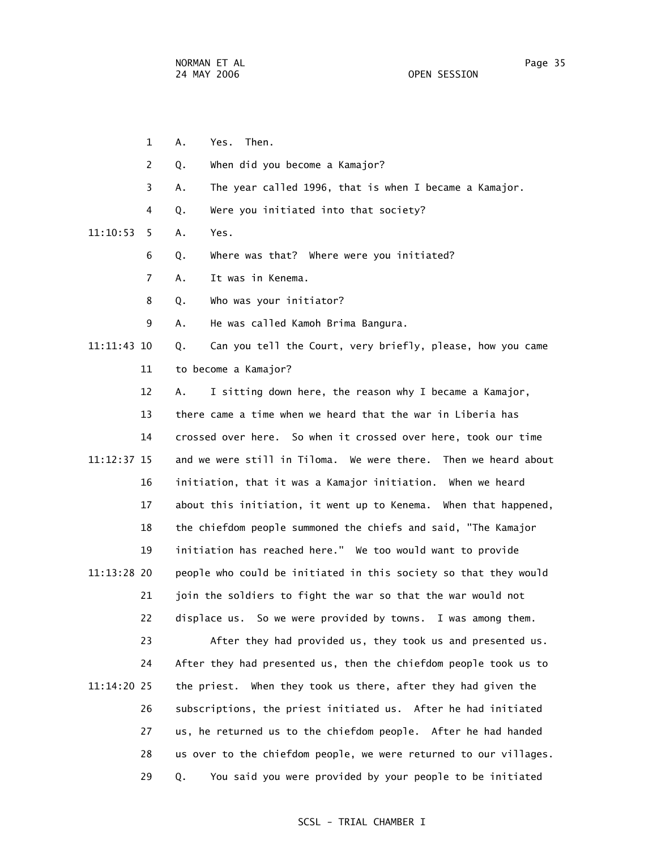1 A. Yes. Then. 2 Q. When did you become a Kamajor? 3 A. The year called 1996, that is when I became a Kamajor. 4 Q. Were you initiated into that society? 11:10:53 5 A. Yes. 6 Q. Where was that? Where were you initiated? 7 A. It was in Kenema. 8 Q. Who was your initiator? 9 A. He was called Kamoh Brima Bangura. 11:11:43 10 Q. Can you tell the Court, very briefly, please, how you came 11 to become a Kamajor? 12 A. I sitting down here, the reason why I became a Kamajor, 13 there came a time when we heard that the war in Liberia has 14 crossed over here. So when it crossed over here, took our time 11:12:37 15 and we were still in Tiloma. We were there. Then we heard about 16 initiation, that it was a Kamajor initiation. When we heard 17 about this initiation, it went up to Kenema. When that happened, 18 the chiefdom people summoned the chiefs and said, "The Kamajor 19 initiation has reached here." We too would want to provide 11:13:28 20 people who could be initiated in this society so that they would 21 join the soldiers to fight the war so that the war would not 22 displace us. So we were provided by towns. I was among them. 23 After they had provided us, they took us and presented us. 24 After they had presented us, then the chiefdom people took us to 11:14:20 25 the priest. When they took us there, after they had given the

 26 subscriptions, the priest initiated us. After he had initiated 27 us, he returned us to the chiefdom people. After he had handed 28 us over to the chiefdom people, we were returned to our villages. 29 Q. You said you were provided by your people to be initiated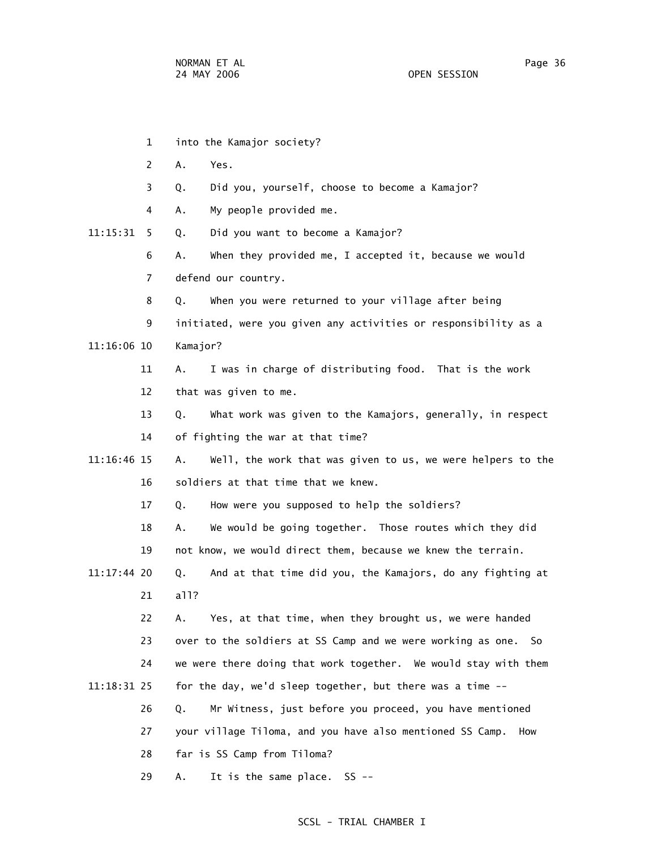- 1 into the Kamajor society? 2 A. Yes. 3 Q. Did you, yourself, choose to become a Kamajor? 4 A. My people provided me. 11:15:31 5 Q. Did you want to become a Kamajor? 6 A. When they provided me, I accepted it, because we would 7 defend our country. 8 Q. When you were returned to your village after being 9 initiated, were you given any activities or responsibility as a 11:16:06 10 Kamajor? 11 A. I was in charge of distributing food. That is the work 12 that was given to me. 13 Q. What work was given to the Kamajors, generally, in respect 14 of fighting the war at that time? 11:16:46 15 A. Well, the work that was given to us, we were helpers to the 16 soldiers at that time that we knew. 17 Q. How were you supposed to help the soldiers? 18 A. We would be going together. Those routes which they did 19 not know, we would direct them, because we knew the terrain. 11:17:44 20 Q. And at that time did you, the Kamajors, do any fighting at 21 all? 22 A. Yes, at that time, when they brought us, we were handed 23 over to the soldiers at SS Camp and we were working as one. So 24 we were there doing that work together. We would stay with them 11:18:31 25 for the day, we'd sleep together, but there was a time -- 26 Q. Mr Witness, just before you proceed, you have mentioned 27 your village Tiloma, and you have also mentioned SS Camp. How 28 far is SS Camp from Tiloma?
	- 29 A. It is the same place. SS --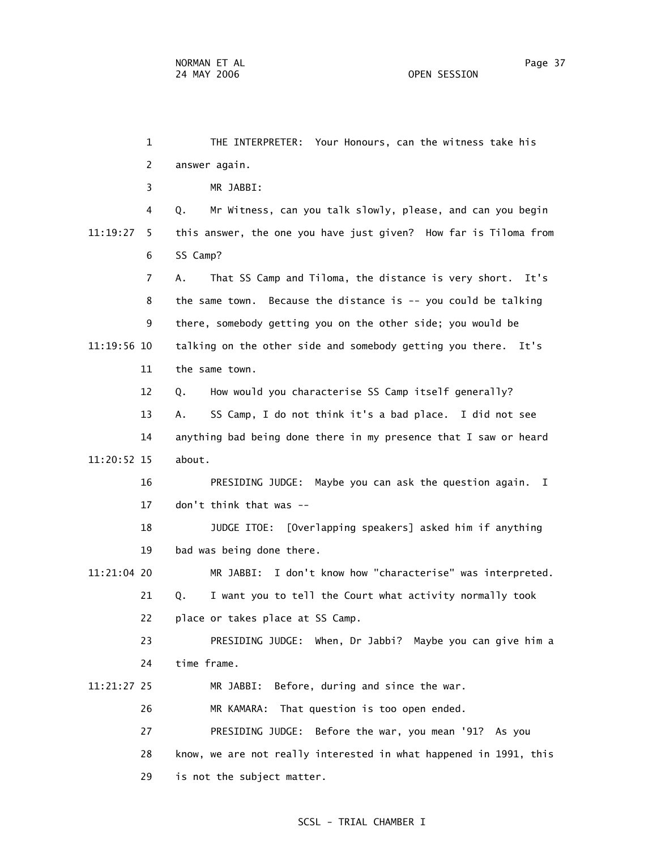1 THE INTERPRETER: Your Honours, can the witness take his 2 answer again. 3 MR JABBI: 4 Q. Mr Witness, can you talk slowly, please, and can you begin 11:19:27 5 this answer, the one you have just given? How far is Tiloma from 6 SS Camp? 7 A. That SS Camp and Tiloma, the distance is very short. It's 8 the same town. Because the distance is -- you could be talking 9 there, somebody getting you on the other side; you would be 11:19:56 10 talking on the other side and somebody getting you there. It's 11 the same town. 12 Q. How would you characterise SS Camp itself generally? 13 A. SS Camp, I do not think it's a bad place. I did not see 14 anything bad being done there in my presence that I saw or heard 11:20:52 15 about. 16 PRESIDING JUDGE: Maybe you can ask the question again. I 17 don't think that was -- 18 JUDGE ITOE: [Overlapping speakers] asked him if anything 19 bad was being done there. 11:21:04 20 MR JABBI: I don't know how "characterise" was interpreted. 21 Q. I want you to tell the Court what activity normally took 22 place or takes place at SS Camp. 23 PRESIDING JUDGE: When, Dr Jabbi? Maybe you can give him a 24 time frame. 11:21:27 25 MR JABBI: Before, during and since the war. 26 MR KAMARA: That question is too open ended. 27 PRESIDING JUDGE: Before the war, you mean '91? As you 28 know, we are not really interested in what happened in 1991, this 29 is not the subject matter.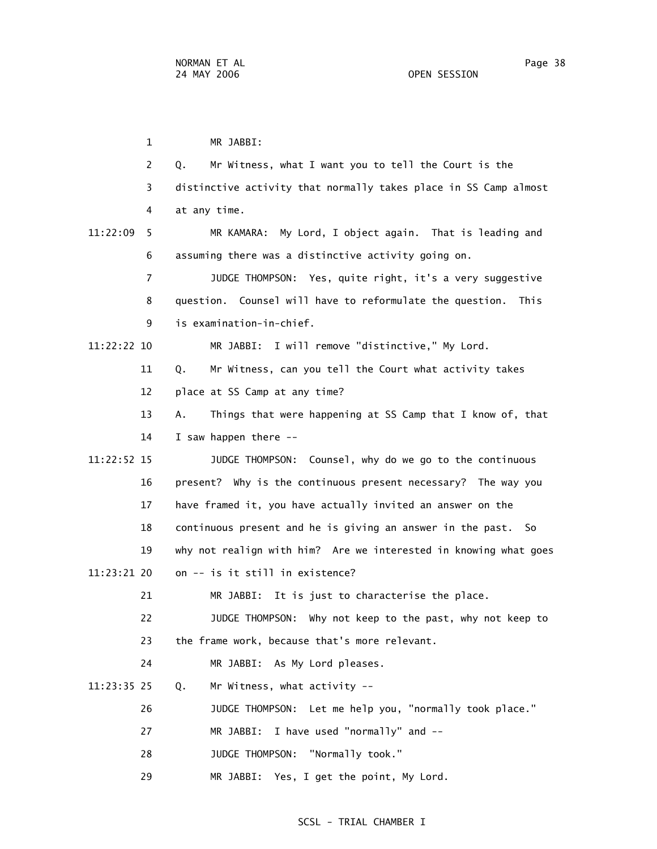1 MR JABBI: 2 Q. Mr Witness, what I want you to tell the Court is the 3 distinctive activity that normally takes place in SS Camp almost 4 at any time. 11:22:09 5 MR KAMARA: My Lord, I object again. That is leading and 6 assuming there was a distinctive activity going on. 7 JUDGE THOMPSON: Yes, quite right, it's a very suggestive 8 question. Counsel will have to reformulate the question. This 9 is examination-in-chief. 11:22:22 10 MR JABBI: I will remove "distinctive," My Lord. 11 Q. Mr Witness, can you tell the Court what activity takes 12 place at SS Camp at any time? 13 A. Things that were happening at SS Camp that I know of, that 14 I saw happen there -- 11:22:52 15 JUDGE THOMPSON: Counsel, why do we go to the continuous 16 present? Why is the continuous present necessary? The way you 17 have framed it, you have actually invited an answer on the 18 continuous present and he is giving an answer in the past. So 19 why not realign with him? Are we interested in knowing what goes 11:23:21 20 on -- is it still in existence? 21 MR JABBI: It is just to characterise the place. 22 JUDGE THOMPSON: Why not keep to the past, why not keep to 23 the frame work, because that's more relevant. 24 MR JABBI: As My Lord pleases. 11:23:35 25 Q. Mr Witness, what activity -- 26 JUDGE THOMPSON: Let me help you, "normally took place." 27 MR JABBI: I have used "normally" and -- 28 JUDGE THOMPSON: "Normally took." 29 MR JABBI: Yes, I get the point, My Lord.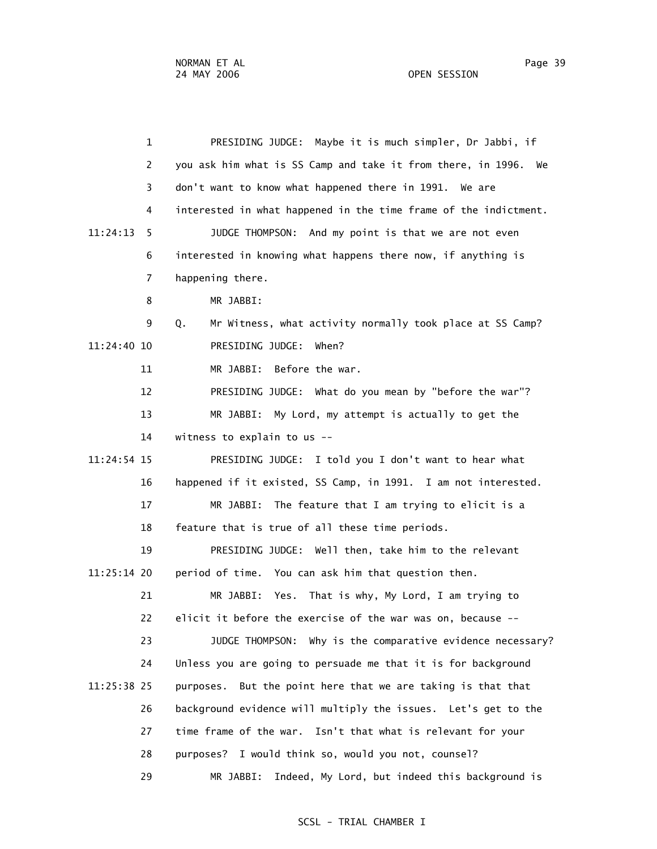1 PRESIDING JUDGE: Maybe it is much simpler, Dr Jabbi, if 2 you ask him what is SS Camp and take it from there, in 1996. We 3 don't want to know what happened there in 1991. We are 4 interested in what happened in the time frame of the indictment. 11:24:13 5 JUDGE THOMPSON: And my point is that we are not even 6 interested in knowing what happens there now, if anything is 7 happening there. 8 MR JABBI: 9 Q. Mr Witness, what activity normally took place at SS Camp? 11:24:40 10 PRESIDING JUDGE: When? 11 MR JABBI: Before the war. 12 PRESIDING JUDGE: What do you mean by "before the war"? 13 MR JABBI: My Lord, my attempt is actually to get the 14 witness to explain to us -- 11:24:54 15 PRESIDING JUDGE: I told you I don't want to hear what 16 happened if it existed, SS Camp, in 1991. I am not interested. 17 MR JABBI: The feature that I am trying to elicit is a 18 feature that is true of all these time periods. 19 PRESIDING JUDGE: Well then, take him to the relevant 11:25:14 20 period of time. You can ask him that question then. 21 MR JABBI: Yes. That is why, My Lord, I am trying to 22 elicit it before the exercise of the war was on, because -- 23 JUDGE THOMPSON: Why is the comparative evidence necessary? 24 Unless you are going to persuade me that it is for background 11:25:38 25 purposes. But the point here that we are taking is that that 26 background evidence will multiply the issues. Let's get to the 27 time frame of the war. Isn't that what is relevant for your 28 purposes? I would think so, would you not, counsel? 29 MR JABBI: Indeed, My Lord, but indeed this background is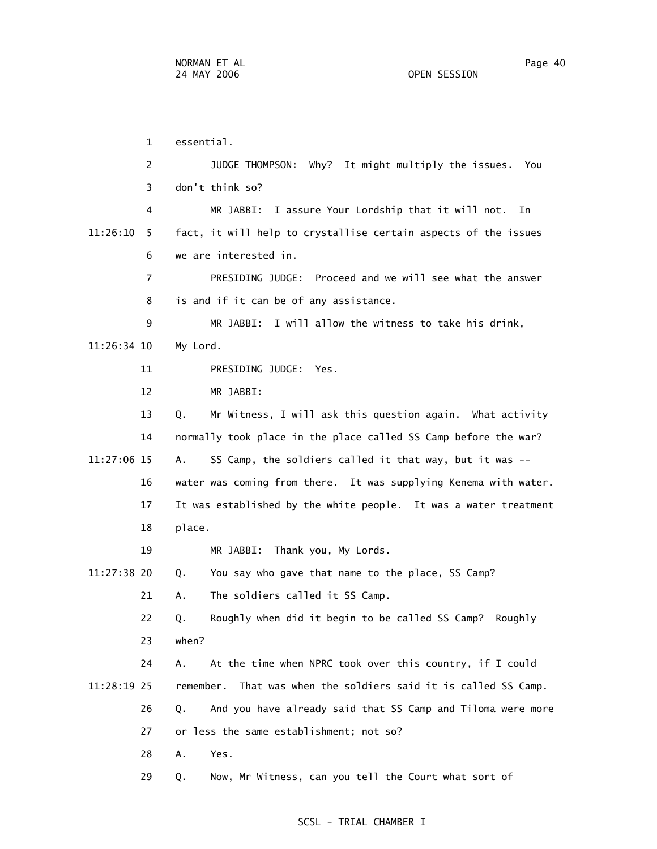1 essential. 2 JUDGE THOMPSON: Why? It might multiply the issues. You 3 don't think so? 4 MR JABBI: I assure Your Lordship that it will not. In 11:26:10 5 fact, it will help to crystallise certain aspects of the issues 6 we are interested in. 7 PRESIDING JUDGE: Proceed and we will see what the answer 8 is and if it can be of any assistance. 9 MR JABBI: I will allow the witness to take his drink, 11:26:34 10 My Lord. 11 PRESIDING JUDGE: Yes. 12 MR JABBI: 13 Q. Mr Witness, I will ask this question again. What activity 14 normally took place in the place called SS Camp before the war? 11:27:06 15 A. SS Camp, the soldiers called it that way, but it was -- 16 water was coming from there. It was supplying Kenema with water. 17 It was established by the white people. It was a water treatment 18 place. 19 MR JABBI: Thank you, My Lords. 11:27:38 20 Q. You say who gave that name to the place, SS Camp? 21 A. The soldiers called it SS Camp. 22 Q. Roughly when did it begin to be called SS Camp? Roughly 23 when? 24 A. At the time when NPRC took over this country, if I could 11:28:19 25 remember. That was when the soldiers said it is called SS Camp. 26 Q. And you have already said that SS Camp and Tiloma were more 27 or less the same establishment; not so? 28 A. Yes. 29 Q. Now, Mr Witness, can you tell the Court what sort of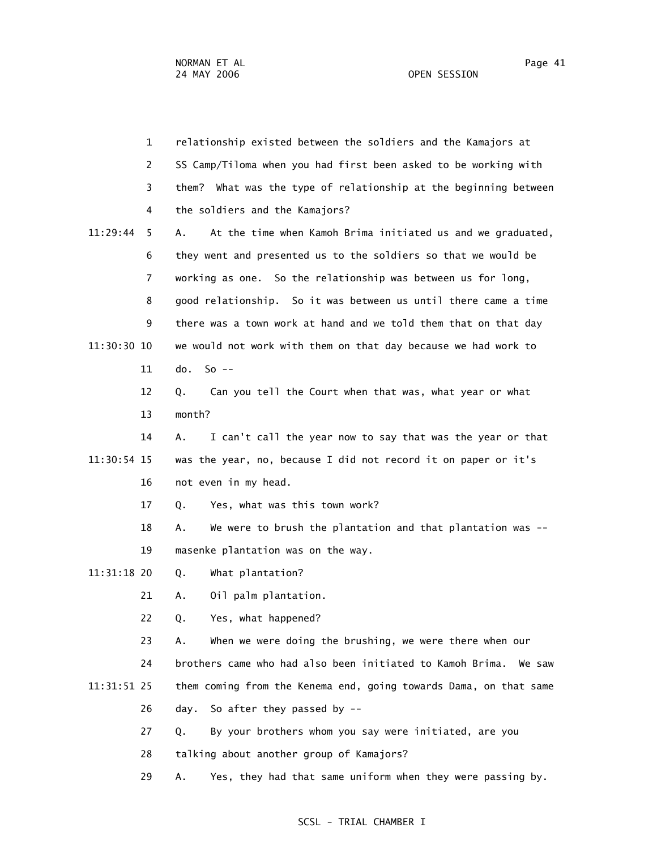1 relationship existed between the soldiers and the Kamajors at 2 SS Camp/Tiloma when you had first been asked to be working with 3 them? What was the type of relationship at the beginning between 4 the soldiers and the Kamajors? 11:29:44 5 A. At the time when Kamoh Brima initiated us and we graduated, 6 they went and presented us to the soldiers so that we would be 7 working as one. So the relationship was between us for long, 8 good relationship. So it was between us until there came a time 9 there was a town work at hand and we told them that on that day 11:30:30 10 we would not work with them on that day because we had work to 11 do. So -- 12 Q. Can you tell the Court when that was, what year or what 13 month? 14 A. I can't call the year now to say that was the year or that 11:30:54 15 was the year, no, because I did not record it on paper or it's 16 not even in my head. 17 Q. Yes, what was this town work? 18 A. We were to brush the plantation and that plantation was -- 19 masenke plantation was on the way. 11:31:18 20 Q. What plantation? 21 A. Oil palm plantation. 22 Q. Yes, what happened? 23 A. When we were doing the brushing, we were there when our 24 brothers came who had also been initiated to Kamoh Brima. We saw 11:31:51 25 them coming from the Kenema end, going towards Dama, on that same 26 day. So after they passed by --

27 Q. By your brothers whom you say were initiated, are you

28 talking about another group of Kamajors?

29 A. Yes, they had that same uniform when they were passing by.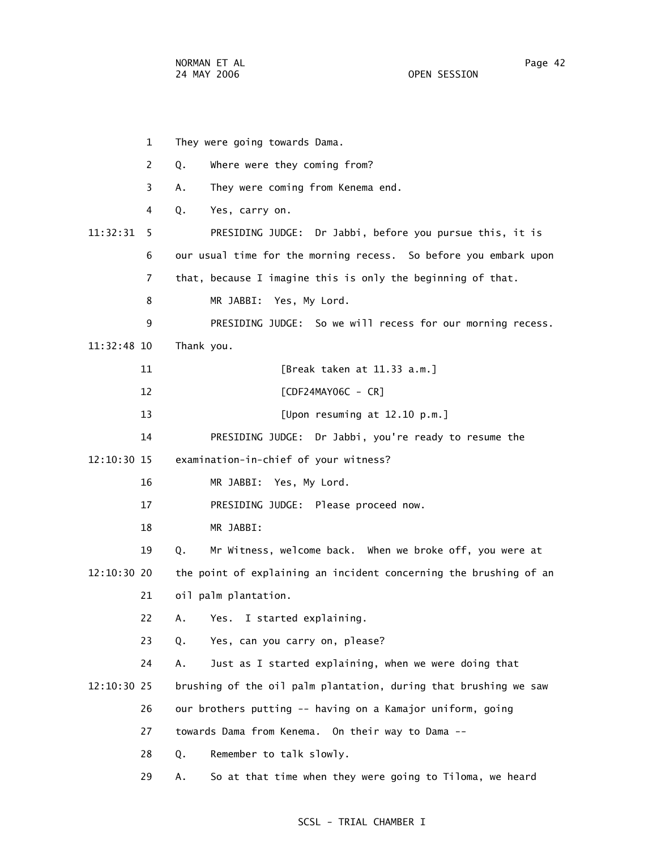1 They were going towards Dama. 2 Q. Where were they coming from? 3 A. They were coming from Kenema end. 4 Q. Yes, carry on. 11:32:31 5 PRESIDING JUDGE: Dr Jabbi, before you pursue this, it is 6 our usual time for the morning recess. So before you embark upon 7 that, because I imagine this is only the beginning of that. 8 MR JABBI: Yes, My Lord. 9 PRESIDING JUDGE: So we will recess for our morning recess. 11:32:48 10 Thank you. 11 [Break taken at 11.33 a.m.] 12 [CDF24MAY06C - CR] 13 [Upon resuming at 12.10 p.m.] 14 PRESIDING JUDGE: Dr Jabbi, you're ready to resume the 12:10:30 15 examination-in-chief of your witness? 16 MR JABBI: Yes, My Lord. 17 PRESIDING JUDGE: Please proceed now. 18 MR JABBI: 19 Q. Mr Witness, welcome back. When we broke off, you were at 12:10:30 20 the point of explaining an incident concerning the brushing of an 21 oil palm plantation. 22 A. Yes. I started explaining. 23 Q. Yes, can you carry on, please? 24 A. Just as I started explaining, when we were doing that 12:10:30 25 brushing of the oil palm plantation, during that brushing we saw 26 our brothers putting -- having on a Kamajor uniform, going 27 towards Dama from Kenema. On their way to Dama -- 28 Q. Remember to talk slowly. 29 A. So at that time when they were going to Tiloma, we heard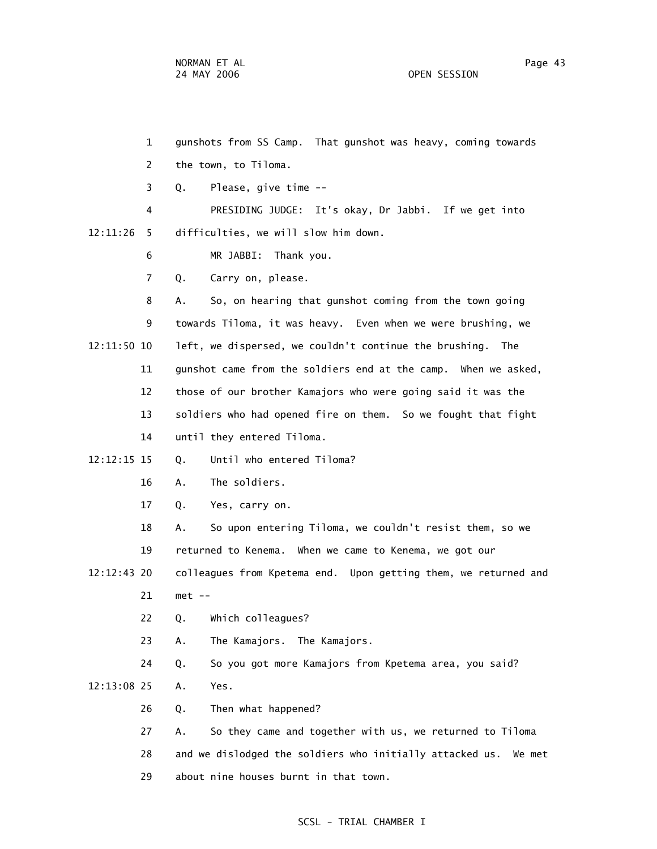1 gunshots from SS Camp. That gunshot was heavy, coming towards 2 the town, to Tiloma. 3 Q. Please, give time -- 4 PRESIDING JUDGE: It's okay, Dr Jabbi. If we get into 12:11:26 5 difficulties, we will slow him down. 6 MR JABBI: Thank you. 7 Q. Carry on, please. 8 A. So, on hearing that gunshot coming from the town going 9 towards Tiloma, it was heavy. Even when we were brushing, we 12:11:50 10 left, we dispersed, we couldn't continue the brushing. The 11 gunshot came from the soldiers end at the camp. When we asked, 12 those of our brother Kamajors who were going said it was the 13 soldiers who had opened fire on them. So we fought that fight 14 until they entered Tiloma. 12:12:15 15 Q. Until who entered Tiloma? 16 A. The soldiers. 17 Q. Yes, carry on. 18 A. So upon entering Tiloma, we couldn't resist them, so we 19 returned to Kenema. When we came to Kenema, we got our 12:12:43 20 colleagues from Kpetema end. Upon getting them, we returned and 21 met -- 22 Q. Which colleagues? 23 A. The Kamajors. The Kamajors. 24 Q. So you got more Kamajors from Kpetema area, you said? 12:13:08 25 A. Yes. 26 Q. Then what happened? 27 A. So they came and together with us, we returned to Tiloma 28 and we dislodged the soldiers who initially attacked us. We met 29 about nine houses burnt in that town.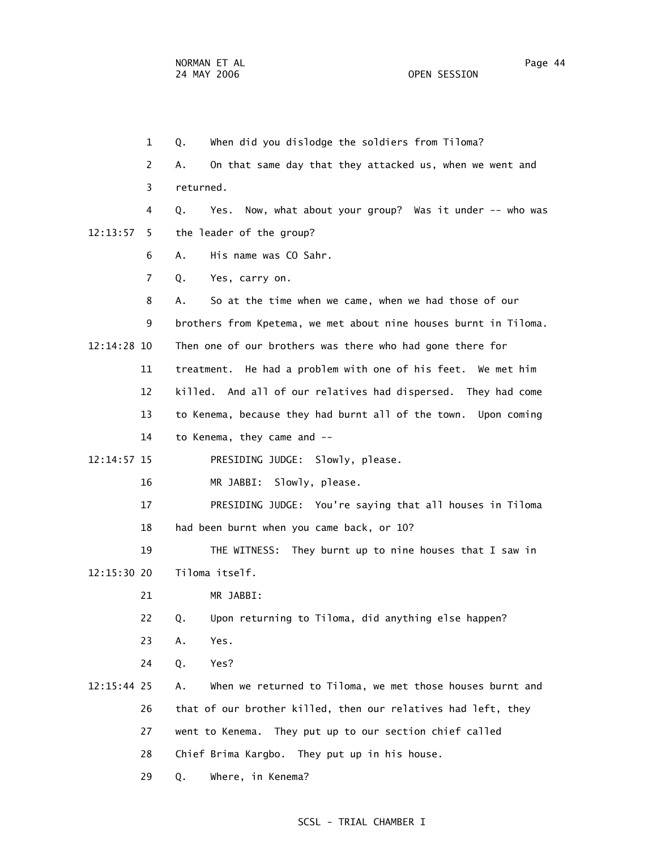1 Q. When did you dislodge the soldiers from Tiloma? 2 A. On that same day that they attacked us, when we went and 3 returned. 4 Q. Yes. Now, what about your group? Was it under -- who was 12:13:57 5 the leader of the group? 6 A. His name was CO Sahr. 7 Q. Yes, carry on. 8 A. So at the time when we came, when we had those of our 9 brothers from Kpetema, we met about nine houses burnt in Tiloma. 12:14:28 10 Then one of our brothers was there who had gone there for 11 treatment. He had a problem with one of his feet. We met him 12 killed. And all of our relatives had dispersed. They had come 13 to Kenema, because they had burnt all of the town. Upon coming 14 to Kenema, they came and -- 12:14:57 15 PRESIDING JUDGE: Slowly, please. 16 MR JABBI: Slowly, please. 17 PRESIDING JUDGE: You're saying that all houses in Tiloma 18 had been burnt when you came back, or 10? 19 THE WITNESS: They burnt up to nine houses that I saw in 12:15:30 20 Tiloma itself. 21 MR JABBI: 22 Q. Upon returning to Tiloma, did anything else happen? 23 A. Yes. 24 Q. Yes? 12:15:44 25 A. When we returned to Tiloma, we met those houses burnt and 26 that of our brother killed, then our relatives had left, they 27 went to Kenema. They put up to our section chief called 28 Chief Brima Kargbo. They put up in his house.

29 Q. Where, in Kenema?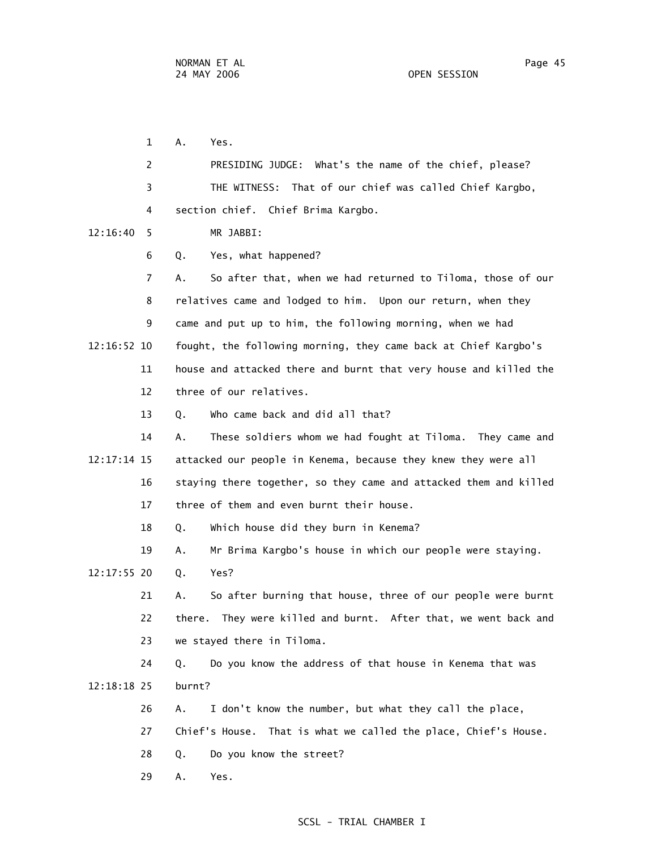1 A. Yes. 2 PRESIDING JUDGE: What's the name of the chief, please? 3 THE WITNESS: That of our chief was called Chief Kargbo, 4 section chief. Chief Brima Kargbo. 12:16:40 5 MR JABBI: 6 Q. Yes, what happened? 7 A. So after that, when we had returned to Tiloma, those of our 8 relatives came and lodged to him. Upon our return, when they 9 came and put up to him, the following morning, when we had 12:16:52 10 fought, the following morning, they came back at Chief Kargbo's 11 house and attacked there and burnt that very house and killed the 12 three of our relatives. 13 Q. Who came back and did all that? 14 A. These soldiers whom we had fought at Tiloma. They came and 12:17:14 15 attacked our people in Kenema, because they knew they were all 16 staying there together, so they came and attacked them and killed 17 three of them and even burnt their house. 18 Q. Which house did they burn in Kenema? 19 A. Mr Brima Kargbo's house in which our people were staying. 12:17:55 20 Q. Yes? 21 A. So after burning that house, three of our people were burnt 22 there. They were killed and burnt. After that, we went back and 23 we stayed there in Tiloma. 24 Q. Do you know the address of that house in Kenema that was 12:18:18 25 burnt? 26 A. I don't know the number, but what they call the place, 27 Chief's House. That is what we called the place, Chief's House. 28 Q. Do you know the street? 29 A. Yes.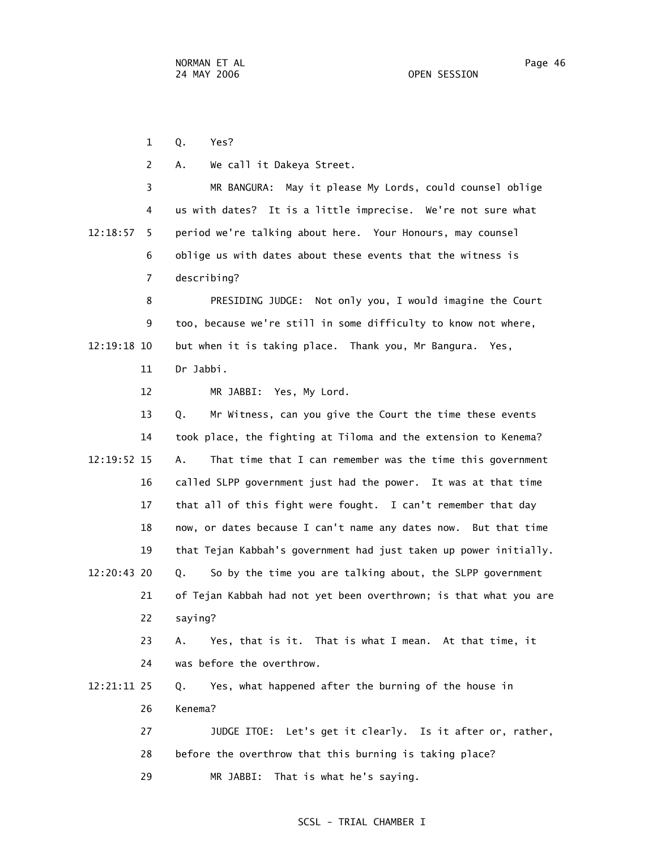1 Q. Yes?

2 A. We call it Dakeya Street.

 3 MR BANGURA: May it please My Lords, could counsel oblige 4 us with dates? It is a little imprecise. We're not sure what 12:18:57 5 period we're talking about here. Your Honours, may counsel 6 oblige us with dates about these events that the witness is 7 describing?

 8 PRESIDING JUDGE: Not only you, I would imagine the Court 9 too, because we're still in some difficulty to know not where, 12:19:18 10 but when it is taking place. Thank you, Mr Bangura. Yes, 11 Dr Jabbi.

12 MR JABBI: Yes, My Lord.

 13 Q. Mr Witness, can you give the Court the time these events 14 took place, the fighting at Tiloma and the extension to Kenema? 12:19:52 15 A. That time that I can remember was the time this government 16 called SLPP government just had the power. It was at that time 17 that all of this fight were fought. I can't remember that day 18 now, or dates because I can't name any dates now. But that time 19 that Tejan Kabbah's government had just taken up power initially. 12:20:43 20 Q. So by the time you are talking about, the SLPP government 21 of Tejan Kabbah had not yet been overthrown; is that what you are 22 saying? 23 A. Yes, that is it. That is what I mean. At that time, it 24 was before the overthrow. 12:21:11 25 Q. Yes, what happened after the burning of the house in 26 Kenema? 27 JUDGE ITOE: Let's get it clearly. Is it after or, rather, 28 before the overthrow that this burning is taking place? 29 MR JABBI: That is what he's saying.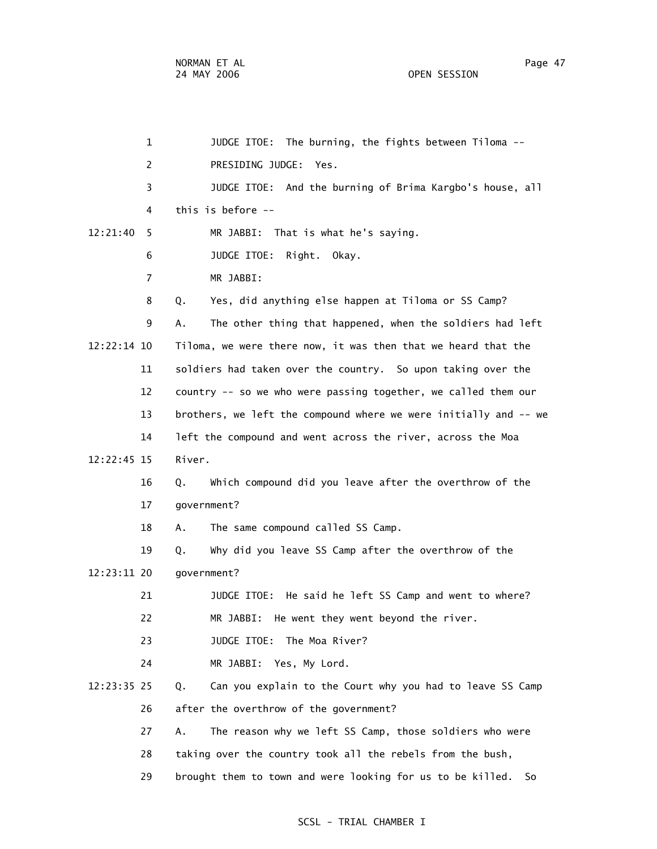1 JUDGE ITOE: The burning, the fights between Tiloma -- 2 PRESIDING JUDGE: Yes. 3 JUDGE ITOE: And the burning of Brima Kargbo's house, all 4 this is before -- 12:21:40 5 MR JABBI: That is what he's saying. 6 JUDGE ITOE: Right. Okay. 7 MR JABBI: 8 Q. Yes, did anything else happen at Tiloma or SS Camp? 9 A. The other thing that happened, when the soldiers had left 12:22:14 10 Tiloma, we were there now, it was then that we heard that the 11 soldiers had taken over the country. So upon taking over the 12 country -- so we who were passing together, we called them our 13 brothers, we left the compound where we were initially and -- we 14 left the compound and went across the river, across the Moa 12:22:45 15 River. 16 Q. Which compound did you leave after the overthrow of the 17 government? 18 A. The same compound called SS Camp. 19 Q. Why did you leave SS Camp after the overthrow of the 12:23:11 20 government? 21 JUDGE ITOE: He said he left SS Camp and went to where? 22 MR JABBI: He went they went beyond the river. 23 JUDGE ITOE: The Moa River? 24 MR JABBI: Yes, My Lord. 12:23:35 25 Q. Can you explain to the Court why you had to leave SS Camp 26 after the overthrow of the government? 27 A. The reason why we left SS Camp, those soldiers who were 28 taking over the country took all the rebels from the bush, 29 brought them to town and were looking for us to be killed. So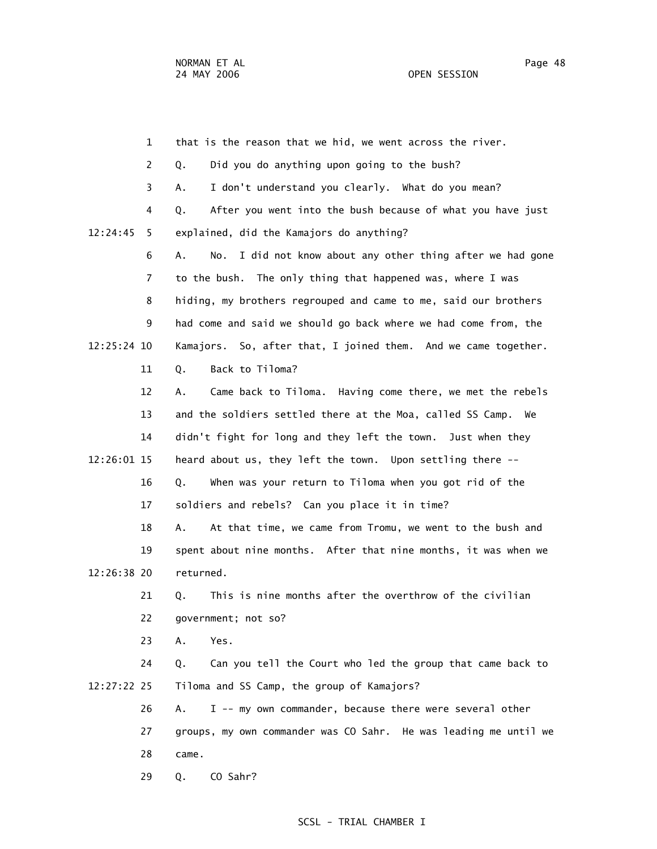1 that is the reason that we hid, we went across the river. 2 Q. Did you do anything upon going to the bush? 3 A. I don't understand you clearly. What do you mean? 4 Q. After you went into the bush because of what you have just 12:24:45 5 explained, did the Kamajors do anything? 6 A. No. I did not know about any other thing after we had gone 7 to the bush. The only thing that happened was, where I was 8 hiding, my brothers regrouped and came to me, said our brothers 9 had come and said we should go back where we had come from, the 12:25:24 10 Kamajors. So, after that, I joined them. And we came together. 11 Q. Back to Tiloma? 12 A. Came back to Tiloma. Having come there, we met the rebels 13 and the soldiers settled there at the Moa, called SS Camp. We 14 didn't fight for long and they left the town. Just when they 12:26:01 15 heard about us, they left the town. Upon settling there -- 16 Q. When was your return to Tiloma when you got rid of the 17 soldiers and rebels? Can you place it in time? 18 A. At that time, we came from Tromu, we went to the bush and 19 spent about nine months. After that nine months, it was when we 12:26:38 20 returned. 21 Q. This is nine months after the overthrow of the civilian 22 government; not so? 23 A. Yes. 24 Q. Can you tell the Court who led the group that came back to 12:27:22 25 Tiloma and SS Camp, the group of Kamajors? 26 A. I -- my own commander, because there were several other 27 groups, my own commander was CO Sahr. He was leading me until we 28 came. 29 Q. CO Sahr?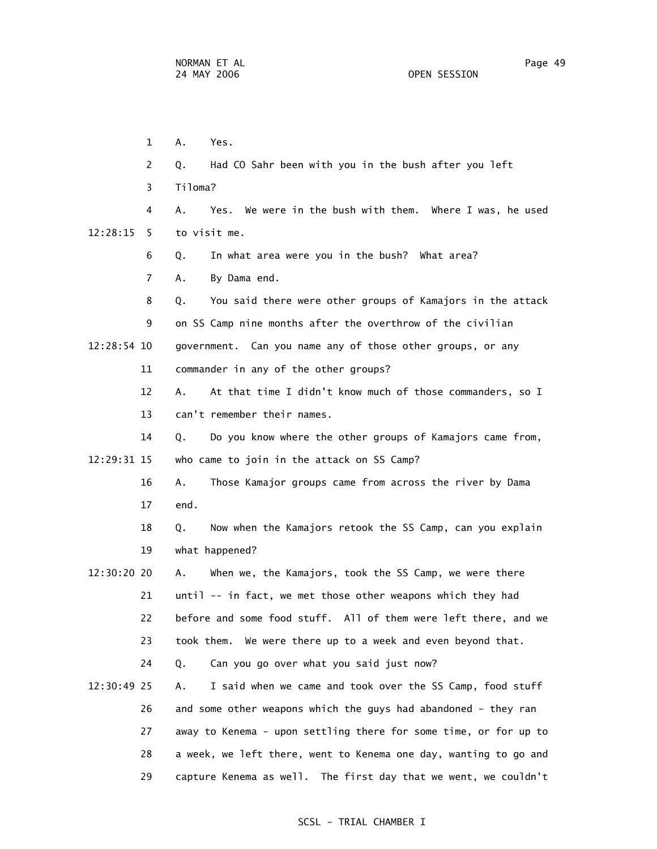1 A. Yes. 2 Q. Had CO Sahr been with you in the bush after you left 3 Tiloma? 4 A. Yes. We were in the bush with them. Where I was, he used 12:28:15 5 to visit me. 6 Q. In what area were you in the bush? What area? 7 A. By Dama end. 8 Q. You said there were other groups of Kamajors in the attack 9 on SS Camp nine months after the overthrow of the civilian 12:28:54 10 government. Can you name any of those other groups, or any 11 commander in any of the other groups? 12 A. At that time I didn't know much of those commanders, so I 13 can't remember their names. 14 Q. Do you know where the other groups of Kamajors came from, 12:29:31 15 who came to join in the attack on SS Camp? 16 A. Those Kamajor groups came from across the river by Dama 17 end. 18 Q. Now when the Kamajors retook the SS Camp, can you explain 19 what happened? 12:30:20 20 A. When we, the Kamajors, took the SS Camp, we were there 21 until -- in fact, we met those other weapons which they had 22 before and some food stuff. All of them were left there, and we

23 took them. We were there up to a week and even beyond that.

24 Q. Can you go over what you said just now?

 12:30:49 25 A. I said when we came and took over the SS Camp, food stuff 26 and some other weapons which the guys had abandoned - they ran 27 away to Kenema - upon settling there for some time, or for up to 28 a week, we left there, went to Kenema one day, wanting to go and 29 capture Kenema as well. The first day that we went, we couldn't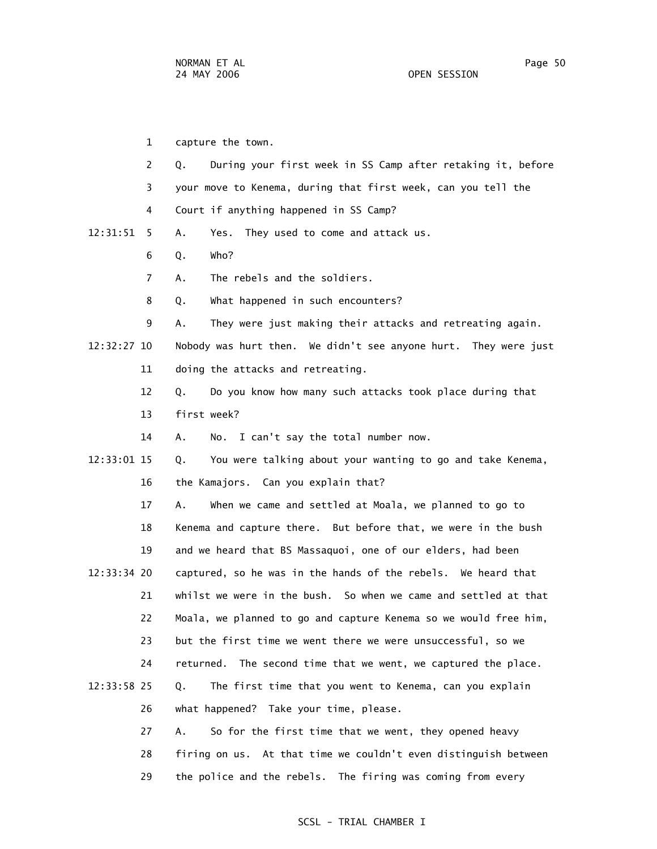1 capture the town. 2 Q. During your first week in SS Camp after retaking it, before 3 your move to Kenema, during that first week, can you tell the 4 Court if anything happened in SS Camp? 12:31:51 5 A. Yes. They used to come and attack us. 6 Q. Who? 7 A. The rebels and the soldiers. 8 Q. What happened in such encounters? 9 A. They were just making their attacks and retreating again. 12:32:27 10 Nobody was hurt then. We didn't see anyone hurt. They were just 11 doing the attacks and retreating. 12 Q. Do you know how many such attacks took place during that 13 first week? 14 A. No. I can't say the total number now. 12:33:01 15 Q. You were talking about your wanting to go and take Kenema, 16 the Kamajors. Can you explain that? 17 A. When we came and settled at Moala, we planned to go to 18 Kenema and capture there. But before that, we were in the bush 19 and we heard that BS Massaquoi, one of our elders, had been 12:33:34 20 captured, so he was in the hands of the rebels. We heard that 21 whilst we were in the bush. So when we came and settled at that 22 Moala, we planned to go and capture Kenema so we would free him, 23 but the first time we went there we were unsuccessful, so we 24 returned. The second time that we went, we captured the place. 12:33:58 25 Q. The first time that you went to Kenema, can you explain 26 what happened? Take your time, please. 27 A. So for the first time that we went, they opened heavy 28 firing on us. At that time we couldn't even distinguish between

29 the police and the rebels. The firing was coming from every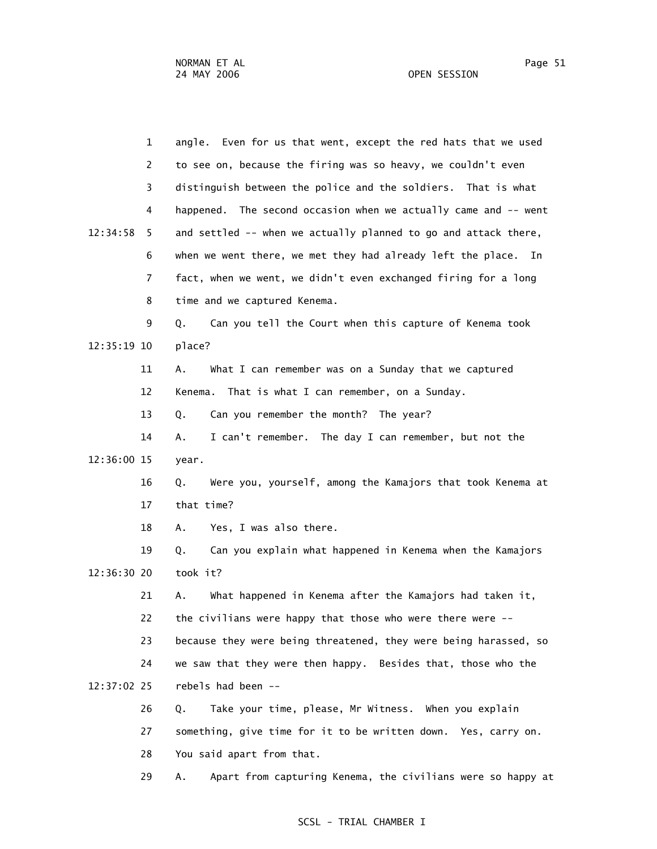| $\mathbf{1}$   | angle. Even for us that went, except the red hats that we used   |
|----------------|------------------------------------------------------------------|
| 2              | to see on, because the firing was so heavy, we couldn't even     |
| 3              | distinguish between the police and the soldiers. That is what    |
| 4              | happened. The second occasion when we actually came and -- went  |
| 12:34:58<br>5. | and settled -- when we actually planned to go and attack there,  |
| 6              | when we went there, we met they had already left the place. In   |
| 7              | fact, when we went, we didn't even exchanged firing for a long   |
| 8              | time and we captured Kenema.                                     |
| 9              | Can you tell the Court when this capture of Kenema took<br>Q.    |
| 12:35:19 10    | place?                                                           |
| 11             | What I can remember was on a Sunday that we captured<br>Α.       |
| 12             | That is what I can remember, on a Sunday.<br>Kenema.             |
| 13             | Can you remember the month? The year?<br>Q.                      |
| 14             | I can't remember. The day I can remember, but not the<br>Α.      |
| 12:36:00 15    | year.                                                            |
|                |                                                                  |
| 16             | Were you, yourself, among the Kamajors that took Kenema at<br>Q. |
| 17             | that time?                                                       |
| 18             | Yes, I was also there.<br>Α.                                     |
| 19             | Can you explain what happened in Kenema when the Kamajors<br>Q.  |
| 12:36:30 20    | took it?                                                         |
| 21             | What happened in Kenema after the Kamajors had taken it,<br>Α.   |
| 22             | the civilians were happy that those who were there were --       |
| 23             | because they were being threatened, they were being harassed, so |
| 24             | we saw that they were then happy. Besides that, those who the    |
| 12:37:02 25    | rebels had been --                                               |
| 26             | Take your time, please, Mr Witness. When you explain<br>Q.       |
| 27             | something, give time for it to be written down. Yes, carry on.   |
| 28             | You said apart from that.                                        |

29 A. Apart from capturing Kenema, the civilians were so happy at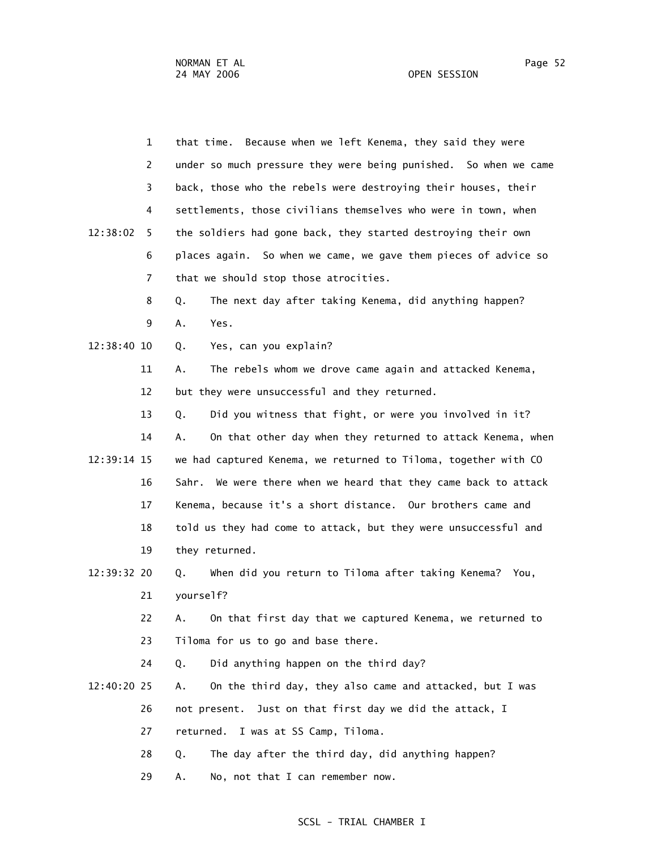|             | $\mathbf{1}$ | that time. Because when we left Kenema, they said they were       |
|-------------|--------------|-------------------------------------------------------------------|
|             | 2            | under so much pressure they were being punished. So when we came  |
|             | 3            | back, those who the rebels were destroying their houses, their    |
|             | 4            | settlements, those civilians themselves who were in town, when    |
| 12:38:02    | 5.           | the soldiers had gone back, they started destroying their own     |
|             | 6            | places again. So when we came, we gave them pieces of advice so   |
|             | 7            | that we should stop those atrocities.                             |
|             | 8            | The next day after taking Kenema, did anything happen?<br>Q.      |
|             | 9            | Yes.<br>Α.                                                        |
| 12:38:40 10 |              | Yes, can you explain?<br>Q.                                       |
|             | 11           | The rebels whom we drove came again and attacked Kenema,<br>А.    |
|             | 12           | but they were unsuccessful and they returned.                     |
|             | 13           | Did you witness that fight, or were you involved in it?<br>Q.     |
|             | 14           | On that other day when they returned to attack Kenema, when<br>Α. |
| 12:39:14 15 |              | we had captured Kenema, we returned to Tiloma, together with CO   |
|             | 16           | Sahr. We were there when we heard that they came back to attack   |
|             | 17           | Kenema, because it's a short distance. Our brothers came and      |
|             | 18           | told us they had come to attack, but they were unsuccessful and   |
|             | 19           | they returned.                                                    |
| 12:39:32 20 |              | When did you return to Tiloma after taking Kenema? You,<br>Q.     |
|             | 21           | yourself?                                                         |
|             | 22           | On that first day that we captured Kenema, we returned to<br>Α.   |
|             | 23           | Tiloma for us to go and base there.                               |
|             | 24           | Did anything happen on the third day?<br>Q.                       |
| 12:40:20 25 |              | On the third day, they also came and attacked, but I was<br>А.    |
|             | 26           | Just on that first day we did the attack, I<br>not present.       |
|             | 27           | I was at SS Camp, Tiloma.<br>returned.                            |
|             | 28           | The day after the third day, did anything happen?<br>Q.           |
|             | 29           | No, not that I can remember now.<br>Α.                            |
|             |              |                                                                   |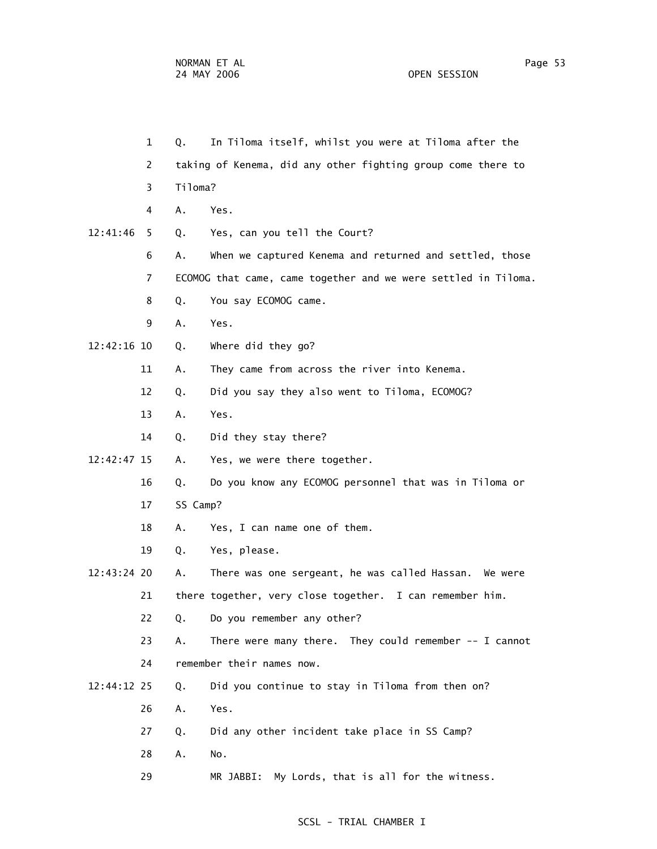1 Q. In Tiloma itself, whilst you were at Tiloma after the 2 taking of Kenema, did any other fighting group come there to 3 Tiloma? 4 A. Yes. 12:41:46 5 Q. Yes, can you tell the Court? 6 A. When we captured Kenema and returned and settled, those 7 ECOMOG that came, came together and we were settled in Tiloma. 8 Q. You say ECOMOG came. 9 A. Yes. 12:42:16 10 Q. Where did they go? 11 A. They came from across the river into Kenema. 12 Q. Did you say they also went to Tiloma, ECOMOG? 13 A. Yes. 14 Q. Did they stay there? 12:42:47 15 A. Yes, we were there together. 16 Q. Do you know any ECOMOG personnel that was in Tiloma or 17 SS Camp? 18 A. Yes, I can name one of them. 19 Q. Yes, please. 12:43:24 20 A. There was one sergeant, he was called Hassan. We were 21 there together, very close together. I can remember him. 22 Q. Do you remember any other? 23 A. There were many there. They could remember -- I cannot 24 remember their names now. 12:44:12 25 Q. Did you continue to stay in Tiloma from then on? 26 A. Yes. 27 Q. Did any other incident take place in SS Camp? 28 A. No. 29 MR JABBI: My Lords, that is all for the witness.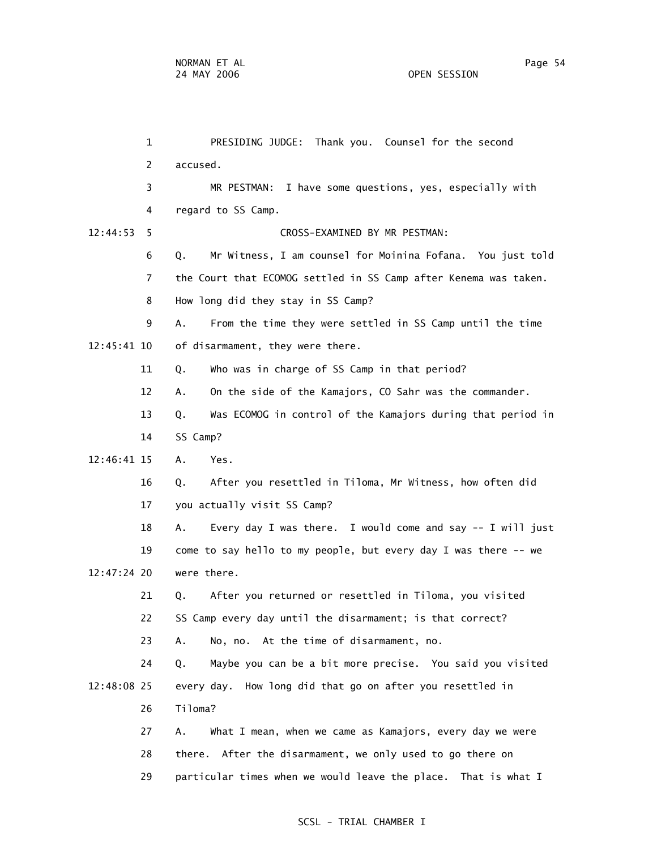1 PRESIDING JUDGE: Thank you. Counsel for the second 2 accused. 3 MR PESTMAN: I have some questions, yes, especially with 4 regard to SS Camp. 12:44:53 5 CROSS-EXAMINED BY MR PESTMAN: 6 Q. Mr Witness, I am counsel for Moinina Fofana. You just told 7 the Court that ECOMOG settled in SS Camp after Kenema was taken. 8 How long did they stay in SS Camp? 9 A. From the time they were settled in SS Camp until the time 12:45:41 10 of disarmament, they were there. 11 Q. Who was in charge of SS Camp in that period? 12 A. On the side of the Kamajors, CO Sahr was the commander. 13 Q. Was ECOMOG in control of the Kamajors during that period in 14 SS Camp? 12:46:41 15 A. Yes. 16 Q. After you resettled in Tiloma, Mr Witness, how often did 17 you actually visit SS Camp? 18 A. Every day I was there. I would come and say -- I will just 19 come to say hello to my people, but every day I was there -- we 12:47:24 20 were there. 21 Q. After you returned or resettled in Tiloma, you visited 22 SS Camp every day until the disarmament; is that correct? 23 A. No, no. At the time of disarmament, no. 24 Q. Maybe you can be a bit more precise. You said you visited 12:48:08 25 every day. How long did that go on after you resettled in 26 Tiloma? 27 A. What I mean, when we came as Kamajors, every day we were 28 there. After the disarmament, we only used to go there on 29 particular times when we would leave the place. That is what I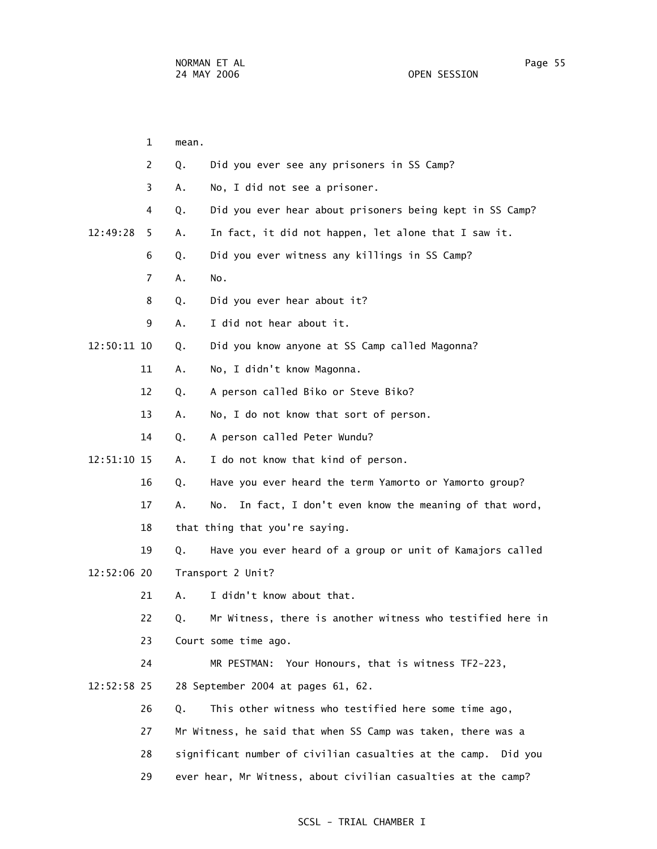|             | 1  | mean. |                                                                   |
|-------------|----|-------|-------------------------------------------------------------------|
|             | 2  | Q.    | Did you ever see any prisoners in SS Camp?                        |
|             | 3  | А.    | No, I did not see a prisoner.                                     |
|             | 4  | Q.    | Did you ever hear about prisoners being kept in SS Camp?          |
| 12:49:28    | 5. | Α.    | In fact, it did not happen, let alone that I saw it.              |
|             | 6  | Q.    | Did you ever witness any killings in SS Camp?                     |
|             | 7  | Α.    | No.                                                               |
|             | 8  | Q.    | Did you ever hear about it?                                       |
|             | 9  | А.    | I did not hear about it.                                          |
| 12:50:11 10 |    | Q.    | Did you know anyone at SS Camp called Magonna?                    |
|             | 11 | Α.    | No, I didn't know Magonna.                                        |
|             | 12 | Q.    | A person called Biko or Steve Biko?                               |
|             | 13 | Α.    | No, I do not know that sort of person.                            |
|             | 14 | Q.    | A person called Peter Wundu?                                      |
| 12:51:10 15 |    | А.    | I do not know that kind of person.                                |
|             | 16 | Q.    | Have you ever heard the term Yamorto or Yamorto group?            |
|             | 17 | А.    | In fact, I don't even know the meaning of that word,<br>No.       |
|             | 18 |       | that thing that you're saying.                                    |
|             | 19 | Q.    | Have you ever heard of a group or unit of Kamajors called         |
| 12:52:06 20 |    |       | Transport 2 Unit?                                                 |
|             | 21 | А.    | I didn't know about that.                                         |
|             | 22 | Q.    | Mr Witness, there is another witness who testified here in        |
|             | 23 |       | Court some time ago.                                              |
|             | 24 |       | MR PESTMAN: Your Honours, that is witness TF2-223,                |
| 12:52:58 25 |    |       | 28 September 2004 at pages 61, 62.                                |
|             | 26 | Q.    | This other witness who testified here some time ago,              |
|             | 27 |       | Mr Witness, he said that when SS Camp was taken, there was a      |
|             | 28 |       | significant number of civilian casualties at the camp.<br>Did you |
|             | 29 |       | ever hear, Mr Witness, about civilian casualties at the camp?     |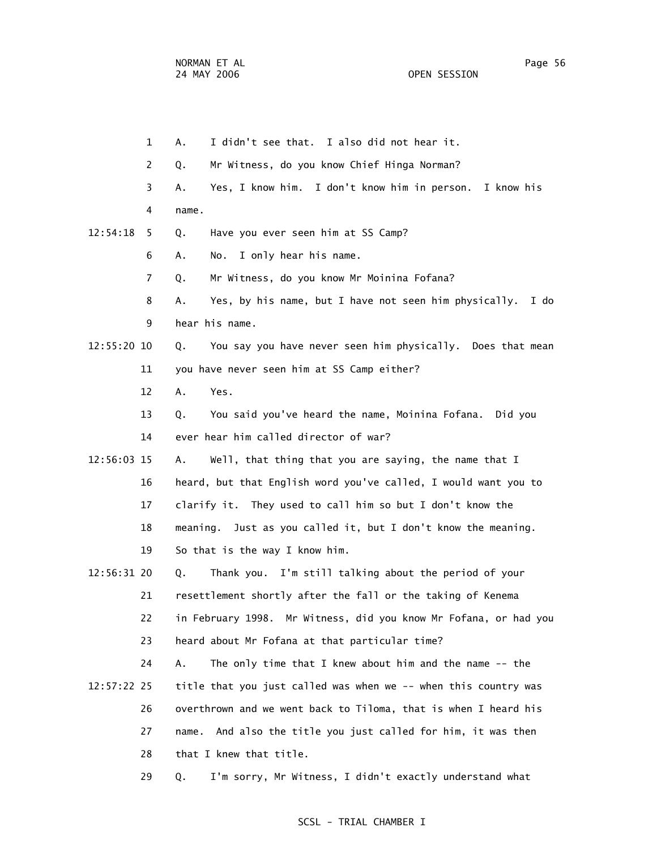1 A. I didn't see that. I also did not hear it. 2 Q. Mr Witness, do you know Chief Hinga Norman? 3 A. Yes, I know him. I don't know him in person. I know his 4 name. 12:54:18 5 Q. Have you ever seen him at SS Camp? 6 A. No. I only hear his name. 7 Q. Mr Witness, do you know Mr Moinina Fofana? 8 A. Yes, by his name, but I have not seen him physically. I do 9 hear his name. 12:55:20 10 Q. You say you have never seen him physically. Does that mean 11 you have never seen him at SS Camp either? 12 A. Yes. 13 Q. You said you've heard the name, Moinina Fofana. Did you 14 ever hear him called director of war? 12:56:03 15 A. Well, that thing that you are saying, the name that I 16 heard, but that English word you've called, I would want you to 17 clarify it. They used to call him so but I don't know the 18 meaning. Just as you called it, but I don't know the meaning. 19 So that is the way I know him. 12:56:31 20 Q. Thank you. I'm still talking about the period of your 21 resettlement shortly after the fall or the taking of Kenema 22 in February 1998. Mr Witness, did you know Mr Fofana, or had you 23 heard about Mr Fofana at that particular time? 24 A. The only time that I knew about him and the name -- the 12:57:22 25 title that you just called was when we -- when this country was 26 overthrown and we went back to Tiloma, that is when I heard his 27 name. And also the title you just called for him, it was then 28 that I knew that title. 29 Q. I'm sorry, Mr Witness, I didn't exactly understand what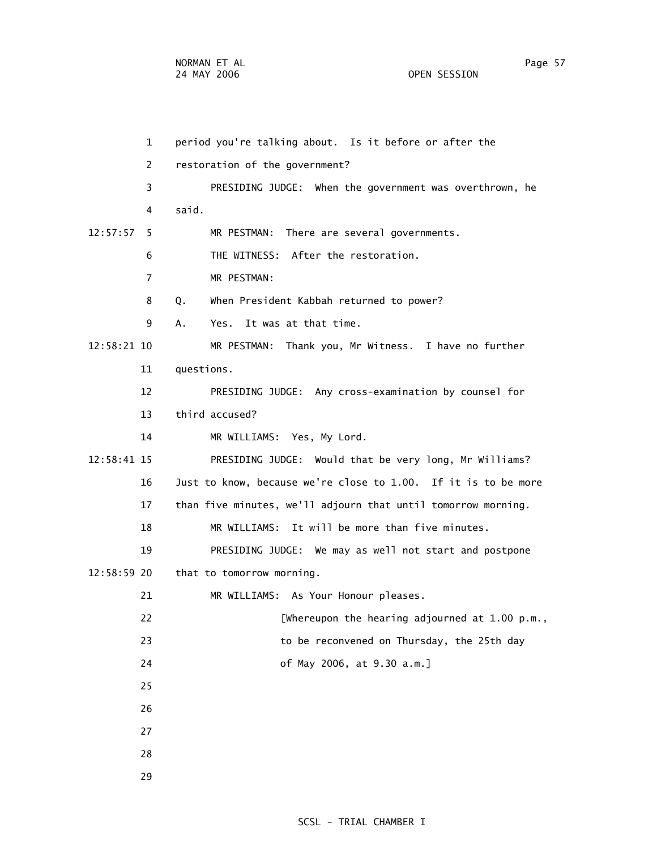| 1              | period you're talking about. Is it before or after the         |
|----------------|----------------------------------------------------------------|
| $\overline{2}$ | restoration of the government?                                 |
| 3              | PRESIDING JUDGE: When the government was overthrown, he        |
| 4              | said.                                                          |
| 12:57:57<br>5. | MR PESTMAN: There are several governments.                     |
| 6              | THE WITNESS: After the restoration.                            |
| 7              | MR PESTMAN:                                                    |
| 8              | When President Kabbah returned to power?<br>Q.                 |
| 9              | Yes. It was at that time.<br>А.                                |
| 12:58:21 10    | MR PESTMAN: Thank you, Mr Witness. I have no further           |
| 11             | questions.                                                     |
| 12             | PRESIDING JUDGE: Any cross-examination by counsel for          |
| 13             | third accused?                                                 |
| 14             | MR WILLIAMS: Yes, My Lord.                                     |
| 12:58:41 15    | PRESIDING JUDGE: Would that be very long, Mr Williams?         |
| 16             | Just to know, because we're close to 1.00. If it is to be more |
| 17             | than five minutes, we'll adjourn that until tomorrow morning.  |
| 18             | MR WILLIAMS: It will be more than five minutes.                |
| 19             | PRESIDING JUDGE: We may as well not start and postpone         |
| 12:58:59 20    | that to tomorrow morning.                                      |
| 21             | MR WILLIAMS: As Your Honour pleases.                           |
| 22             | [Whereupon the hearing adjourned at 1.00 p.m.,                 |
| 23             | to be reconvened on Thursday, the 25th day                     |
| 24             | of May 2006, at 9.30 a.m.]                                     |
| 25             |                                                                |
| 26             |                                                                |
| 27             |                                                                |
| 28             |                                                                |
| 29             |                                                                |